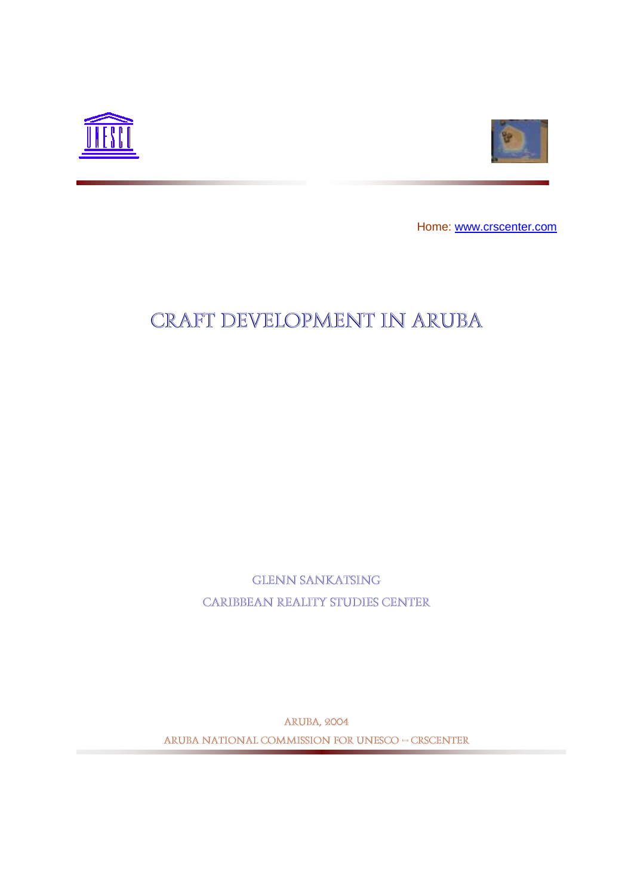



Home: [www.crscenter.com](http://www.crscenter.com/)

# Craft Development in Aruba

Glenn Sankatsing Caribbean Reality Studies Center

Aruba, 2004 ARUBA NATIONAL COMMISSION FOR UNESCO – CRSCenter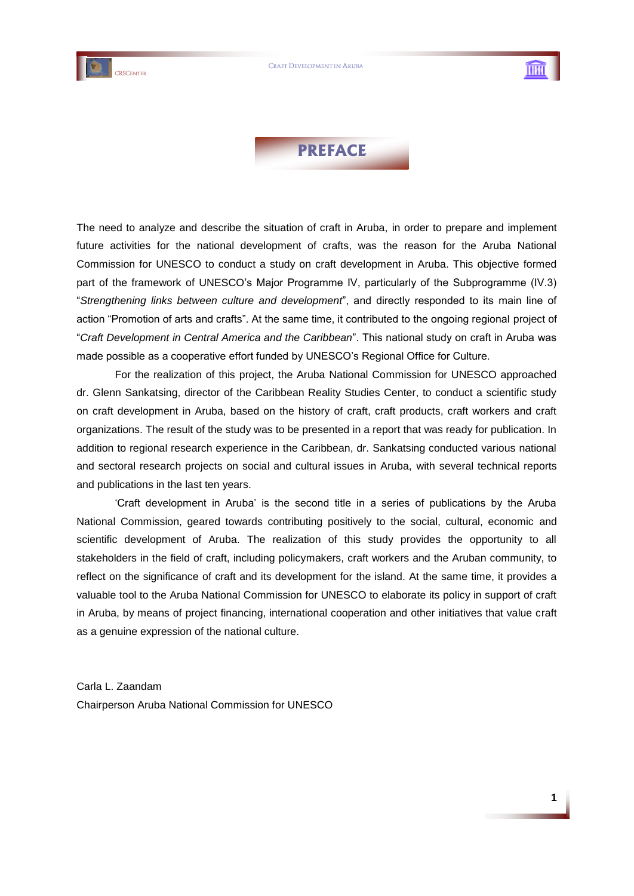



# **PREFACE**

The need to analyze and describe the situation of craft in Aruba, in order to prepare and implement future activities for the national development of crafts, was the reason for the Aruba National Commission for UNESCO to conduct a study on craft development in Aruba. This objective formed part of the framework of UNESCO"s Major Programme IV, particularly of the Subprogramme (IV.3) "*Strengthening links between culture and development*", and directly responded to its main line of action "Promotion of arts and crafts". At the same time, it contributed to the ongoing regional project of "*Craft Development in Central America and the Caribbean*". This national study on craft in Aruba was made possible as a cooperative effort funded by UNESCO"s Regional Office for Culture.

For the realization of this project, the Aruba National Commission for UNESCO approached dr. Glenn Sankatsing, director of the Caribbean Reality Studies Center, to conduct a scientific study on craft development in Aruba, based on the history of craft, craft products, craft workers and craft organizations. The result of the study was to be presented in a report that was ready for publication. In addition to regional research experience in the Caribbean, dr. Sankatsing conducted various national and sectoral research projects on social and cultural issues in Aruba, with several technical reports and publications in the last ten years.

"Craft development in Aruba" is the second title in a series of publications by the Aruba National Commission, geared towards contributing positively to the social, cultural, economic and scientific development of Aruba. The realization of this study provides the opportunity to all stakeholders in the field of craft, including policymakers, craft workers and the Aruban community, to reflect on the significance of craft and its development for the island. At the same time, it provides a valuable tool to the Aruba National Commission for UNESCO to elaborate its policy in support of craft in Aruba, by means of project financing, international cooperation and other initiatives that value craft as a genuine expression of the national culture.

Carla L. Zaandam Chairperson Aruba National Commission for UNESCO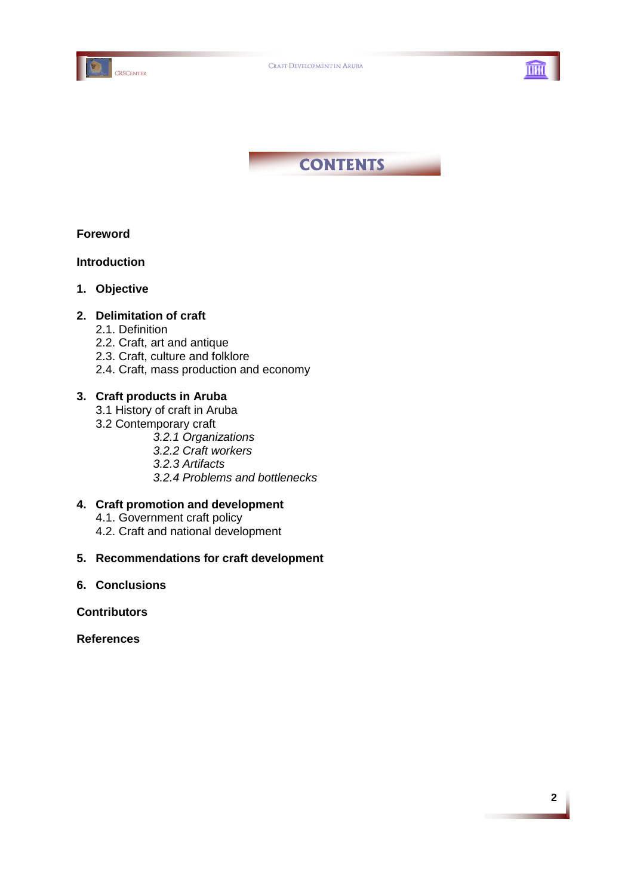





# **Foreword**

### **Introduction**

**1. Objective** 

# **2. Delimitation of craft**

- 2.1. Definition
- 2.2. Craft, art and antique
- 2.3. Craft, culture and folklore
- 2.4. Craft, mass production and economy

# **3. Craft products in Aruba**

- 3.1 History of craft in Aruba
- 3.2 Contemporary craft
	- *3.2.1 Organizations*
	- *3.2.2 Craft workers*
	- *3.2.3 Artifacts*
	- *3.2.4 Problems and bottlenecks*

# **4. Craft promotion and development**

- 4.1. Government craft policy
- 4.2. Craft and national development

### **5. Recommendations for craft development**

**6. Conclusions**

### **Contributors**

**References**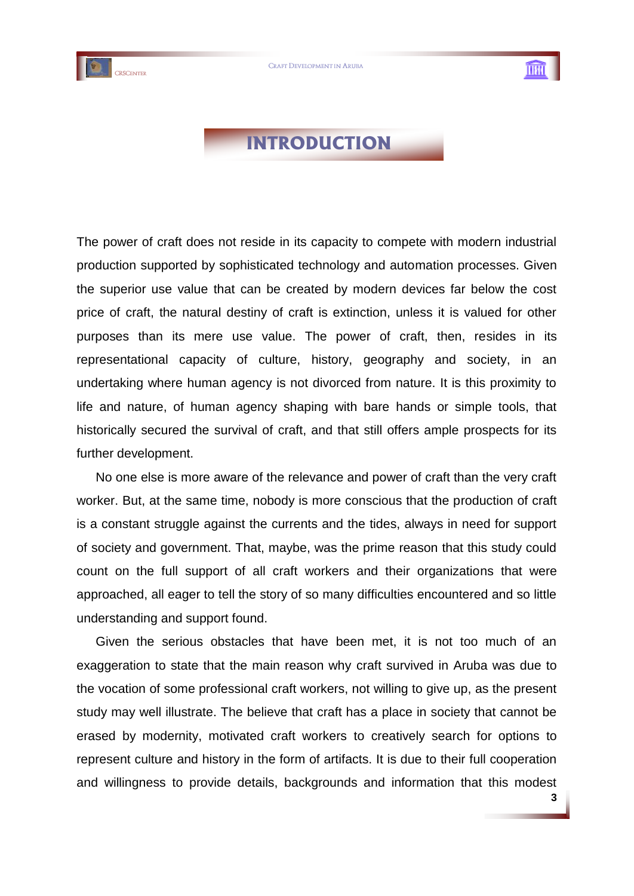



**3**

# **INTRODUCTION**

The power of craft does not reside in its capacity to compete with modern industrial production supported by sophisticated technology and automation processes. Given the superior use value that can be created by modern devices far below the cost price of craft, the natural destiny of craft is extinction, unless it is valued for other purposes than its mere use value. The power of craft, then, resides in its representational capacity of culture, history, geography and society, in an undertaking where human agency is not divorced from nature. It is this proximity to life and nature, of human agency shaping with bare hands or simple tools, that historically secured the survival of craft, and that still offers ample prospects for its further development.

No one else is more aware of the relevance and power of craft than the very craft worker. But, at the same time, nobody is more conscious that the production of craft is a constant struggle against the currents and the tides, always in need for support of society and government. That, maybe, was the prime reason that this study could count on the full support of all craft workers and their organizations that were approached, all eager to tell the story of so many difficulties encountered and so little understanding and support found.

Given the serious obstacles that have been met, it is not too much of an exaggeration to state that the main reason why craft survived in Aruba was due to the vocation of some professional craft workers, not willing to give up, as the present study may well illustrate. The believe that craft has a place in society that cannot be erased by modernity, motivated craft workers to creatively search for options to represent culture and history in the form of artifacts. It is due to their full cooperation and willingness to provide details, backgrounds and information that this modest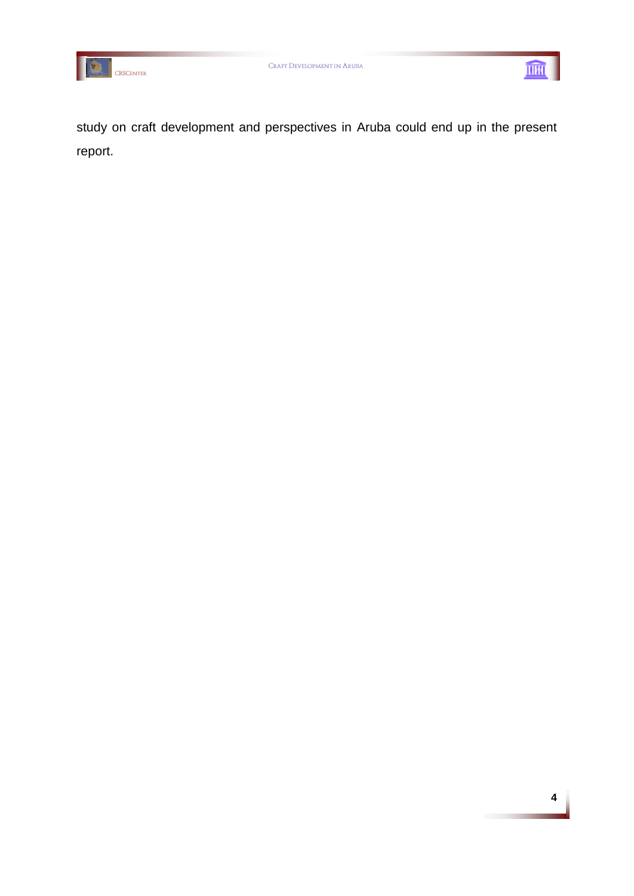



study on craft development and perspectives in Aruba could end up in the present report.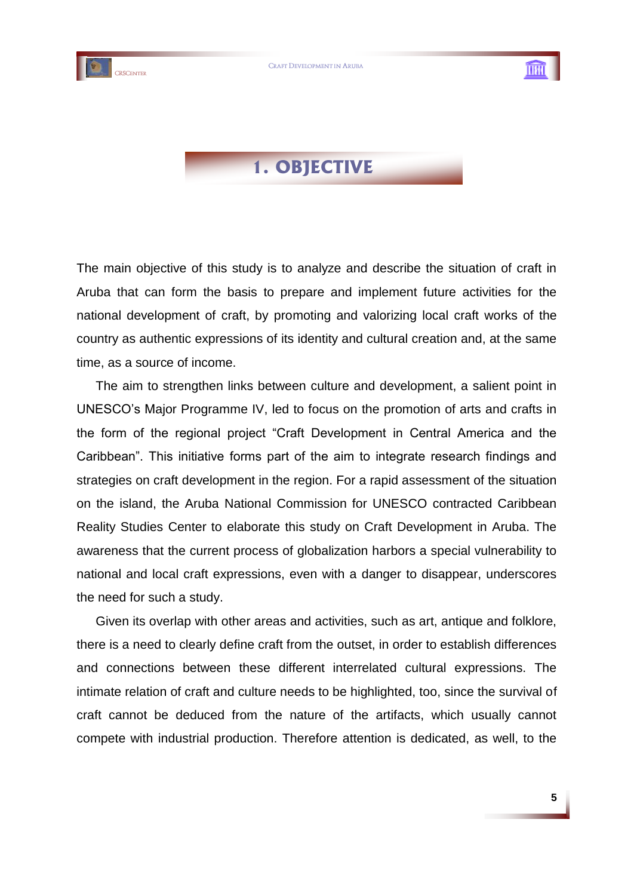



# **1. OBJECTIVE**

The main objective of this study is to analyze and describe the situation of craft in Aruba that can form the basis to prepare and implement future activities for the national development of craft, by promoting and valorizing local craft works of the country as authentic expressions of its identity and cultural creation and, at the same time, as a source of income.

The aim to strengthen links between culture and development, a salient point in UNESCO"s Major Programme IV, led to focus on the promotion of arts and crafts in the form of the regional project "Craft Development in Central America and the Caribbean". This initiative forms part of the aim to integrate research findings and strategies on craft development in the region. For a rapid assessment of the situation on the island, the Aruba National Commission for UNESCO contracted Caribbean Reality Studies Center to elaborate this study on Craft Development in Aruba. The awareness that the current process of globalization harbors a special vulnerability to national and local craft expressions, even with a danger to disappear, underscores the need for such a study.

Given its overlap with other areas and activities, such as art, antique and folklore, there is a need to clearly define craft from the outset, in order to establish differences and connections between these different interrelated cultural expressions. The intimate relation of craft and culture needs to be highlighted, too, since the survival of craft cannot be deduced from the nature of the artifacts, which usually cannot compete with industrial production. Therefore attention is dedicated, as well, to the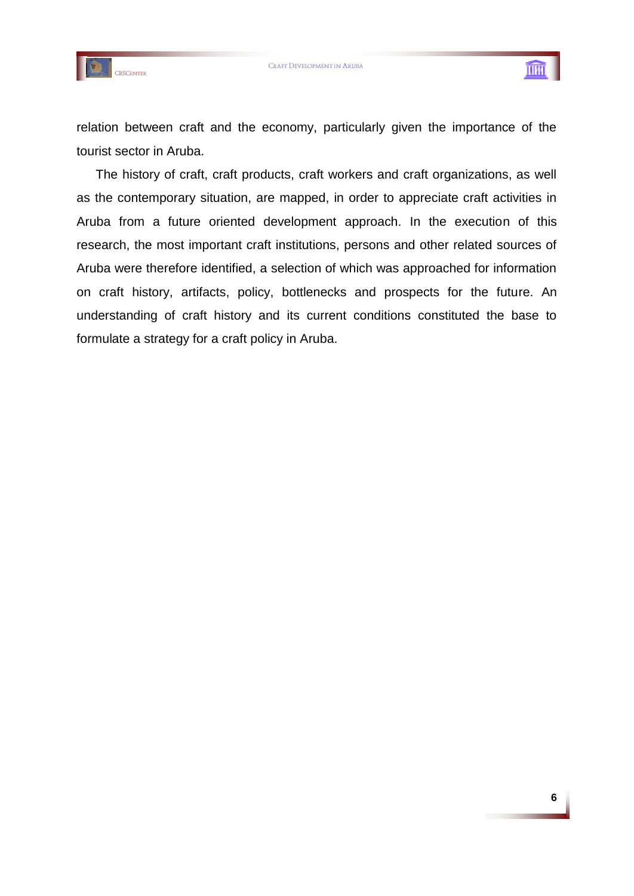



relation between craft and the economy, particularly given the importance of the tourist sector in Aruba.

The history of craft, craft products, craft workers and craft organizations, as well as the contemporary situation, are mapped, in order to appreciate craft activities in Aruba from a future oriented development approach. In the execution of this research, the most important craft institutions, persons and other related sources of Aruba were therefore identified, a selection of which was approached for information on craft history, artifacts, policy, bottlenecks and prospects for the future. An understanding of craft history and its current conditions constituted the base to formulate a strategy for a craft policy in Aruba.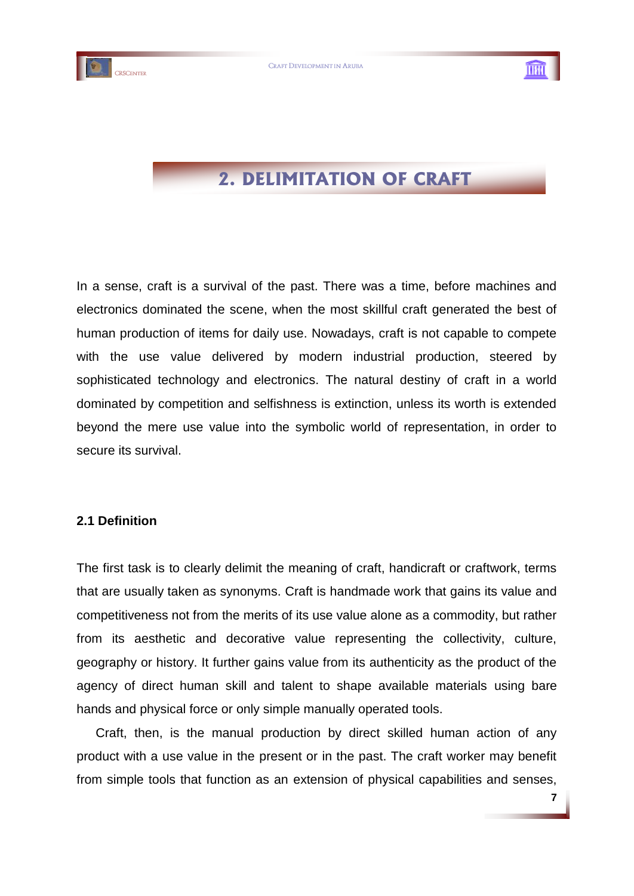



# **2. DELIMITATION OF CRAFT**

In a sense, craft is a survival of the past. There was a time, before machines and electronics dominated the scene, when the most skillful craft generated the best of human production of items for daily use. Nowadays, craft is not capable to compete with the use value delivered by modern industrial production, steered by sophisticated technology and electronics. The natural destiny of craft in a world dominated by competition and selfishness is extinction, unless its worth is extended beyond the mere use value into the symbolic world of representation, in order to secure its survival.

# **2.1 Definition**

The first task is to clearly delimit the meaning of craft, handicraft or craftwork, terms that are usually taken as synonyms. Craft is handmade work that gains its value and competitiveness not from the merits of its use value alone as a commodity, but rather from its aesthetic and decorative value representing the collectivity, culture, geography or history. It further gains value from its authenticity as the product of the agency of direct human skill and talent to shape available materials using bare hands and physical force or only simple manually operated tools.

Craft, then, is the manual production by direct skilled human action of any product with a use value in the present or in the past. The craft worker may benefit from simple tools that function as an extension of physical capabilities and senses,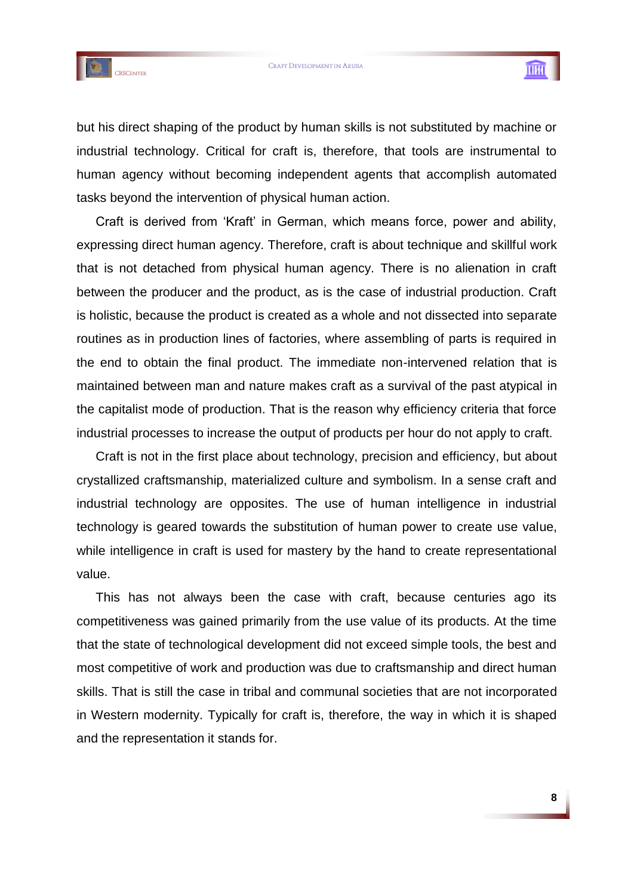



but his direct shaping of the product by human skills is not substituted by machine or industrial technology. Critical for craft is, therefore, that tools are instrumental to human agency without becoming independent agents that accomplish automated tasks beyond the intervention of physical human action.

Craft is derived from "Kraft" in German, which means force, power and ability, expressing direct human agency. Therefore, craft is about technique and skillful work that is not detached from physical human agency. There is no alienation in craft between the producer and the product, as is the case of industrial production. Craft is holistic, because the product is created as a whole and not dissected into separate routines as in production lines of factories, where assembling of parts is required in the end to obtain the final product. The immediate non-intervened relation that is maintained between man and nature makes craft as a survival of the past atypical in the capitalist mode of production. That is the reason why efficiency criteria that force industrial processes to increase the output of products per hour do not apply to craft.

Craft is not in the first place about technology, precision and efficiency, but about crystallized craftsmanship, materialized culture and symbolism. In a sense craft and industrial technology are opposites. The use of human intelligence in industrial technology is geared towards the substitution of human power to create use value, while intelligence in craft is used for mastery by the hand to create representational value.

This has not always been the case with craft, because centuries ago its competitiveness was gained primarily from the use value of its products. At the time that the state of technological development did not exceed simple tools, the best and most competitive of work and production was due to craftsmanship and direct human skills. That is still the case in tribal and communal societies that are not incorporated in Western modernity. Typically for craft is, therefore, the way in which it is shaped and the representation it stands for.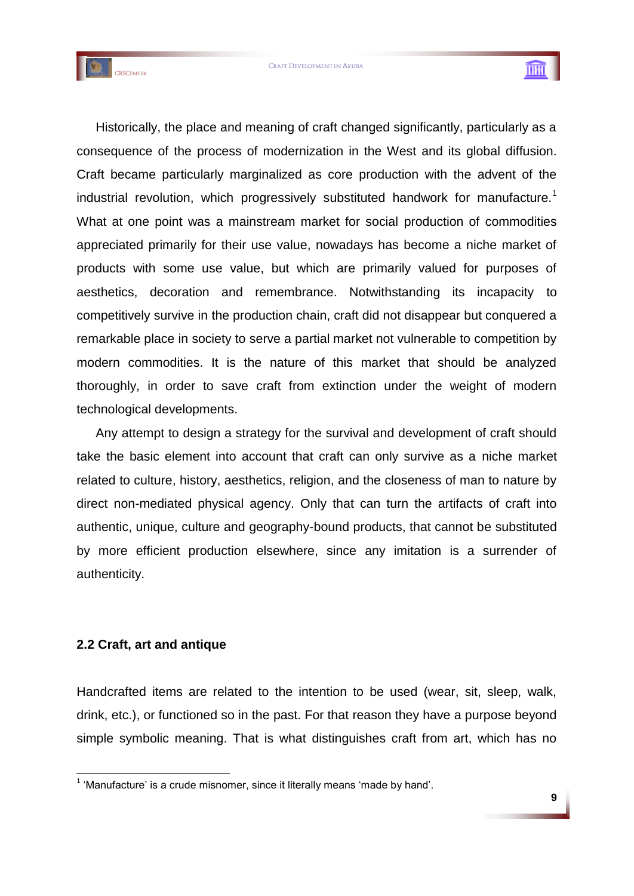



Historically, the place and meaning of craft changed significantly, particularly as a consequence of the process of modernization in the West and its global diffusion. Craft became particularly marginalized as core production with the advent of the industrial revolution, which progressively substituted handwork for manufacture.<sup>1</sup> What at one point was a mainstream market for social production of commodities appreciated primarily for their use value, nowadays has become a niche market of products with some use value, but which are primarily valued for purposes of aesthetics, decoration and remembrance. Notwithstanding its incapacity to competitively survive in the production chain, craft did not disappear but conquered a remarkable place in society to serve a partial market not vulnerable to competition by modern commodities. It is the nature of this market that should be analyzed thoroughly, in order to save craft from extinction under the weight of modern technological developments.

Any attempt to design a strategy for the survival and development of craft should take the basic element into account that craft can only survive as a niche market related to culture, history, aesthetics, religion, and the closeness of man to nature by direct non-mediated physical agency. Only that can turn the artifacts of craft into authentic, unique, culture and geography-bound products, that cannot be substituted by more efficient production elsewhere, since any imitation is a surrender of authenticity.

# **2.2 Craft, art and antique**

1

Handcrafted items are related to the intention to be used (wear, sit, sleep, walk, drink, etc.), or functioned so in the past. For that reason they have a purpose beyond simple symbolic meaning. That is what distinguishes craft from art, which has no

 $1$  'Manufacture' is a crude misnomer, since it literally means 'made by hand'.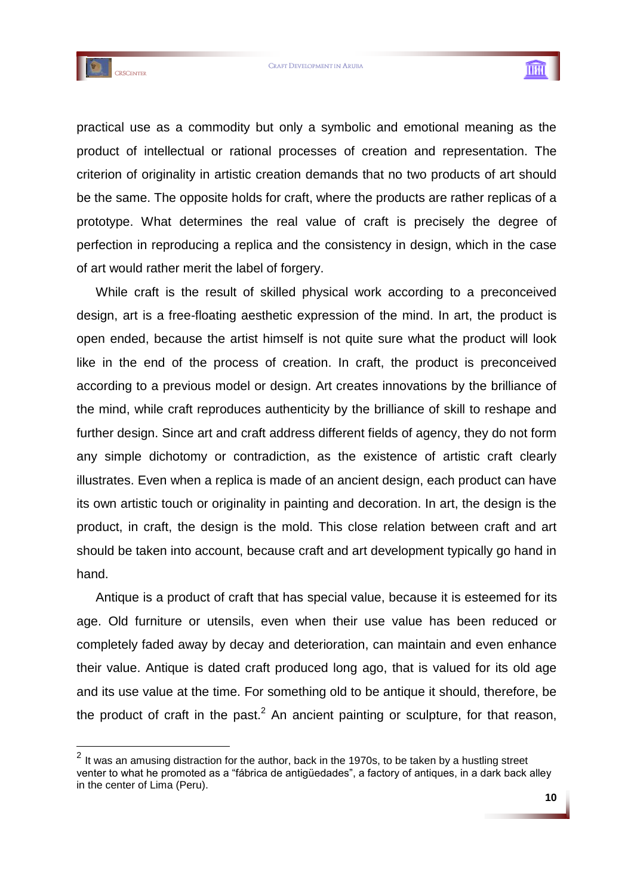



practical use as a commodity but only a symbolic and emotional meaning as the product of intellectual or rational processes of creation and representation. The criterion of originality in artistic creation demands that no two products of art should be the same. The opposite holds for craft, where the products are rather replicas of a prototype. What determines the real value of craft is precisely the degree of perfection in reproducing a replica and the consistency in design, which in the case of art would rather merit the label of forgery.

While craft is the result of skilled physical work according to a preconceived design, art is a free-floating aesthetic expression of the mind. In art, the product is open ended, because the artist himself is not quite sure what the product will look like in the end of the process of creation. In craft, the product is preconceived according to a previous model or design. Art creates innovations by the brilliance of the mind, while craft reproduces authenticity by the brilliance of skill to reshape and further design. Since art and craft address different fields of agency, they do not form any simple dichotomy or contradiction, as the existence of artistic craft clearly illustrates. Even when a replica is made of an ancient design, each product can have its own artistic touch or originality in painting and decoration. In art, the design is the product, in craft, the design is the mold. This close relation between craft and art should be taken into account, because craft and art development typically go hand in hand.

Antique is a product of craft that has special value, because it is esteemed for its age. Old furniture or utensils, even when their use value has been reduced or completely faded away by decay and deterioration, can maintain and even enhance their value. Antique is dated craft produced long ago, that is valued for its old age and its use value at the time. For something old to be antique it should, therefore, be the product of craft in the past. $<sup>2</sup>$  An ancient painting or sculpture, for that reason,</sup>

 2 It was an amusing distraction for the author, back in the 1970s, to be taken by a hustling street venter to what he promoted as a "fábrica de antigüedades", a factory of antiques, in a dark back alley in the center of Lima (Peru).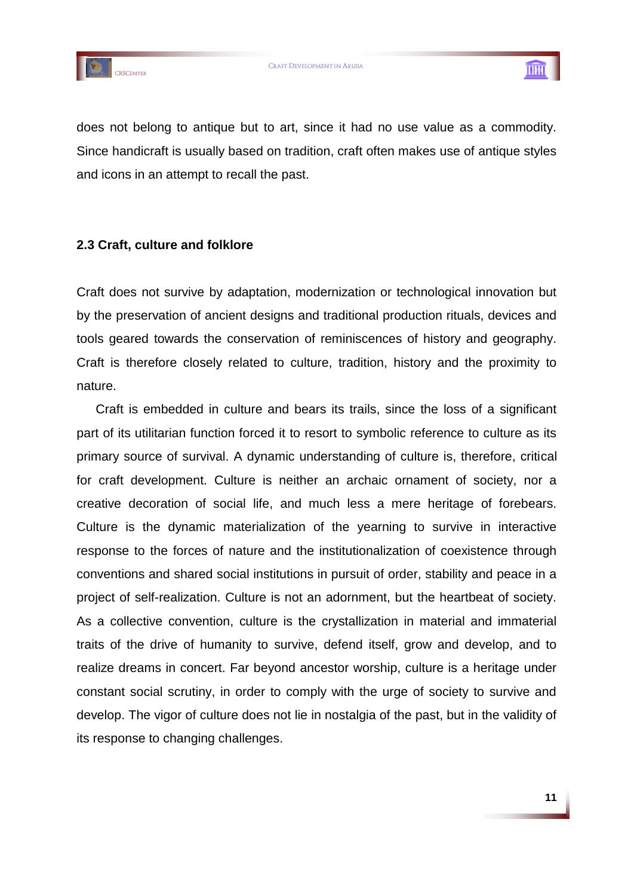



does not belong to antique but to art, since it had no use value as a commodity. Since handicraft is usually based on tradition, craft often makes use of antique styles and icons in an attempt to recall the past.

# **2.3 Craft, culture and folklore**

Craft does not survive by adaptation, modernization or technological innovation but by the preservation of ancient designs and traditional production rituals, devices and tools geared towards the conservation of reminiscences of history and geography. Craft is therefore closely related to culture, tradition, history and the proximity to nature.

Craft is embedded in culture and bears its trails, since the loss of a significant part of its utilitarian function forced it to resort to symbolic reference to culture as its primary source of survival. A dynamic understanding of culture is, therefore, critical for craft development. Culture is neither an archaic ornament of society, nor a creative decoration of social life, and much less a mere heritage of forebears. Culture is the dynamic materialization of the yearning to survive in interactive response to the forces of nature and the institutionalization of coexistence through conventions and shared social institutions in pursuit of order, stability and peace in a project of self-realization. Culture is not an adornment, but the heartbeat of society. As a collective convention, culture is the crystallization in material and immaterial traits of the drive of humanity to survive, defend itself, grow and develop, and to realize dreams in concert. Far beyond ancestor worship, culture is a heritage under constant social scrutiny, in order to comply with the urge of society to survive and develop. The vigor of culture does not lie in nostalgia of the past, but in the validity of its response to changing challenges.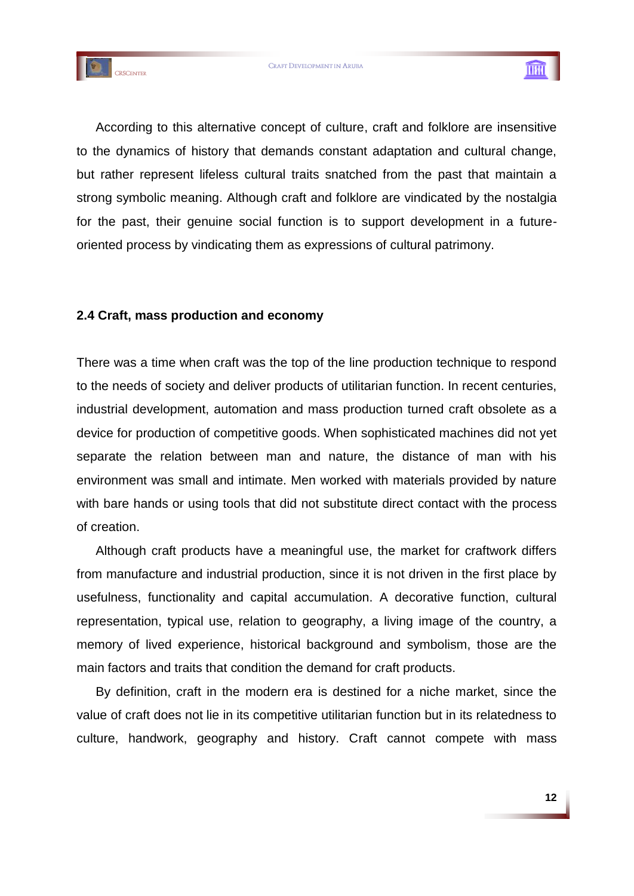



According to this alternative concept of culture, craft and folklore are insensitive to the dynamics of history that demands constant adaptation and cultural change, but rather represent lifeless cultural traits snatched from the past that maintain a strong symbolic meaning. Although craft and folklore are vindicated by the nostalgia for the past, their genuine social function is to support development in a futureoriented process by vindicating them as expressions of cultural patrimony.

# **2.4 Craft, mass production and economy**

There was a time when craft was the top of the line production technique to respond to the needs of society and deliver products of utilitarian function. In recent centuries, industrial development, automation and mass production turned craft obsolete as a device for production of competitive goods. When sophisticated machines did not yet separate the relation between man and nature, the distance of man with his environment was small and intimate. Men worked with materials provided by nature with bare hands or using tools that did not substitute direct contact with the process of creation.

Although craft products have a meaningful use, the market for craftwork differs from manufacture and industrial production, since it is not driven in the first place by usefulness, functionality and capital accumulation. A decorative function, cultural representation, typical use, relation to geography, a living image of the country, a memory of lived experience, historical background and symbolism, those are the main factors and traits that condition the demand for craft products.

By definition, craft in the modern era is destined for a niche market, since the value of craft does not lie in its competitive utilitarian function but in its relatedness to culture, handwork, geography and history. Craft cannot compete with mass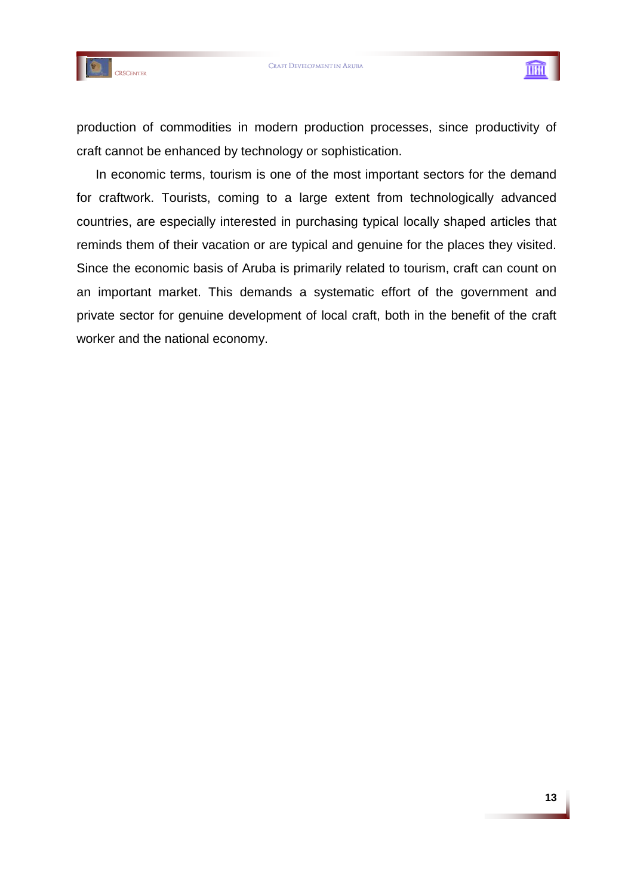



production of commodities in modern production processes, since productivity of craft cannot be enhanced by technology or sophistication.

In economic terms, tourism is one of the most important sectors for the demand for craftwork. Tourists, coming to a large extent from technologically advanced countries, are especially interested in purchasing typical locally shaped articles that reminds them of their vacation or are typical and genuine for the places they visited. Since the economic basis of Aruba is primarily related to tourism, craft can count on an important market. This demands a systematic effort of the government and private sector for genuine development of local craft, both in the benefit of the craft worker and the national economy.

THU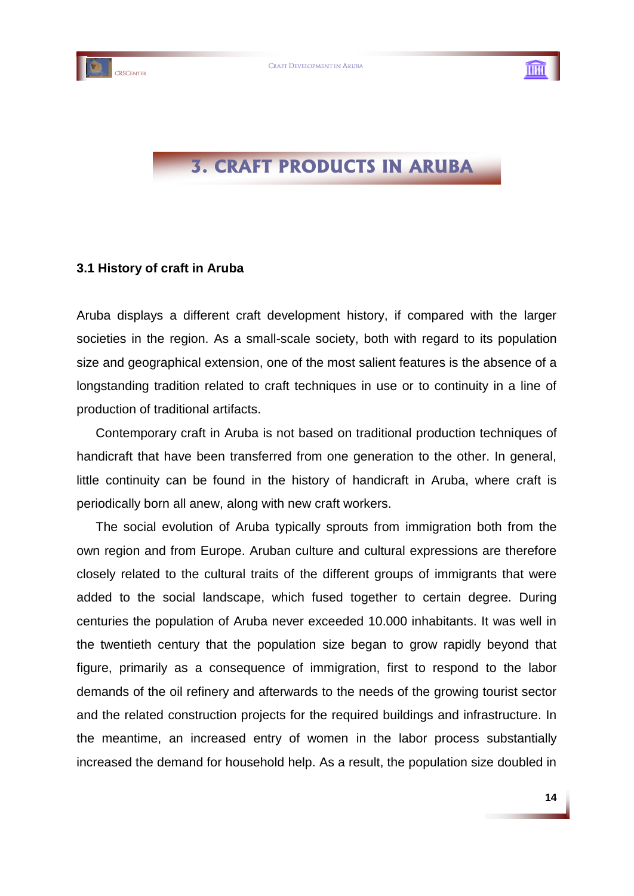



# **3. CRAFT PRODUCTS IN ARUBA**

# **3.1 History of craft in Aruba**

Aruba displays a different craft development history, if compared with the larger societies in the region. As a small-scale society, both with regard to its population size and geographical extension, one of the most salient features is the absence of a longstanding tradition related to craft techniques in use or to continuity in a line of production of traditional artifacts.

Contemporary craft in Aruba is not based on traditional production techniques of handicraft that have been transferred from one generation to the other. In general, little continuity can be found in the history of handicraft in Aruba, where craft is periodically born all anew, along with new craft workers.

The social evolution of Aruba typically sprouts from immigration both from the own region and from Europe. Aruban culture and cultural expressions are therefore closely related to the cultural traits of the different groups of immigrants that were added to the social landscape, which fused together to certain degree. During centuries the population of Aruba never exceeded 10.000 inhabitants. It was well in the twentieth century that the population size began to grow rapidly beyond that figure, primarily as a consequence of immigration, first to respond to the labor demands of the oil refinery and afterwards to the needs of the growing tourist sector and the related construction projects for the required buildings and infrastructure. In the meantime, an increased entry of women in the labor process substantially increased the demand for household help. As a result, the population size doubled in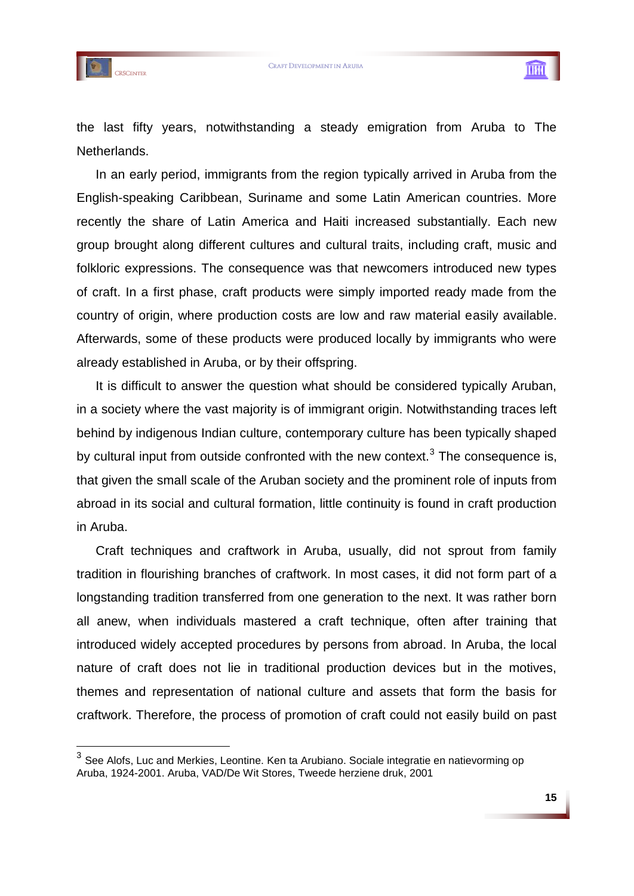

1



the last fifty years, notwithstanding a steady emigration from Aruba to The Netherlands.

In an early period, immigrants from the region typically arrived in Aruba from the English-speaking Caribbean, Suriname and some Latin American countries. More recently the share of Latin America and Haiti increased substantially. Each new group brought along different cultures and cultural traits, including craft, music and folkloric expressions. The consequence was that newcomers introduced new types of craft. In a first phase, craft products were simply imported ready made from the country of origin, where production costs are low and raw material easily available. Afterwards, some of these products were produced locally by immigrants who were already established in Aruba, or by their offspring.

It is difficult to answer the question what should be considered typically Aruban, in a society where the vast majority is of immigrant origin. Notwithstanding traces left behind by indigenous Indian culture, contemporary culture has been typically shaped by cultural input from outside confronted with the new context.<sup>3</sup> The consequence is, that given the small scale of the Aruban society and the prominent role of inputs from abroad in its social and cultural formation, little continuity is found in craft production in Aruba.

Craft techniques and craftwork in Aruba, usually, did not sprout from family tradition in flourishing branches of craftwork. In most cases, it did not form part of a longstanding tradition transferred from one generation to the next. It was rather born all anew, when individuals mastered a craft technique, often after training that introduced widely accepted procedures by persons from abroad. In Aruba, the local nature of craft does not lie in traditional production devices but in the motives, themes and representation of national culture and assets that form the basis for craftwork. Therefore, the process of promotion of craft could not easily build on past

<sup>3</sup> See Alofs, Luc and Merkies, Leontine. Ken ta Arubiano. Sociale integratie en natievorming op Aruba, 1924-2001. Aruba, VAD/De Wit Stores, Tweede herziene druk, 2001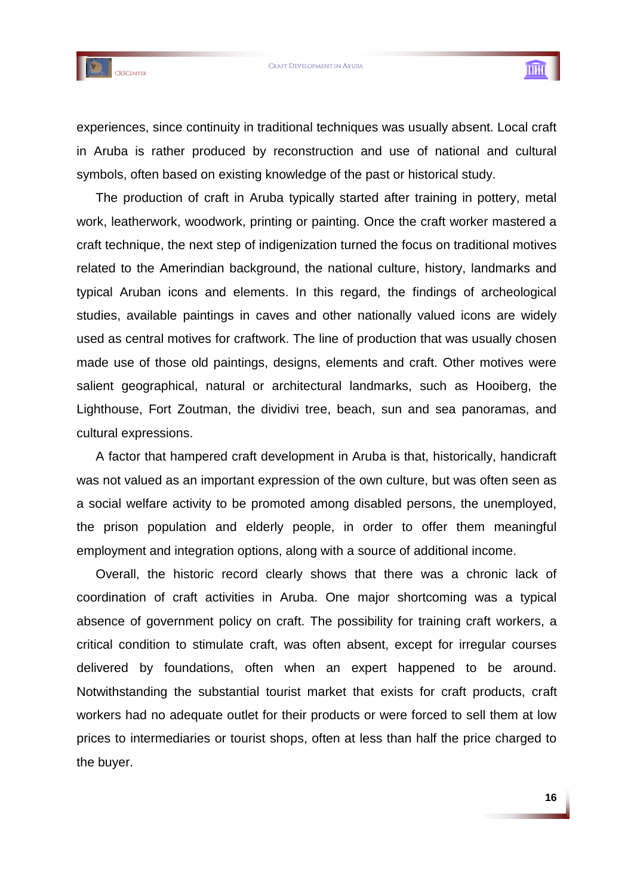



THU

experiences, since continuity in traditional techniques was usually absent. Local craft in Aruba is rather produced by reconstruction and use of national and cultural symbols, often based on existing knowledge of the past or historical study.

The production of craft in Aruba typically started after training in pottery, metal work, leatherwork, woodwork, printing or painting. Once the craft worker mastered a craft technique, the next step of indigenization turned the focus on traditional motives related to the Amerindian background, the national culture, history, landmarks and typical Aruban icons and elements. In this regard, the findings of archeological studies, available paintings in caves and other nationally valued icons are widely used as central motives for craftwork. The line of production that was usually chosen made use of those old paintings, designs, elements and craft. Other motives were salient geographical, natural or architectural landmarks, such as Hooiberg, the Lighthouse, Fort Zoutman, the dividivi tree, beach, sun and sea panoramas, and cultural expressions.

A factor that hampered craft development in Aruba is that, historically, handicraft was not valued as an important expression of the own culture, but was often seen as a social welfare activity to be promoted among disabled persons, the unemployed, the prison population and elderly people, in order to offer them meaningful employment and integration options, along with a source of additional income.

Overall, the historic record clearly shows that there was a chronic lack of coordination of craft activities in Aruba. One major shortcoming was a typical absence of government policy on craft. The possibility for training craft workers, a critical condition to stimulate craft, was often absent, except for irregular courses delivered by foundations, often when an expert happened to be around. Notwithstanding the substantial tourist market that exists for craft products, craft workers had no adequate outlet for their products or were forced to sell them at low prices to intermediaries or tourist shops, often at less than half the price charged to the buyer.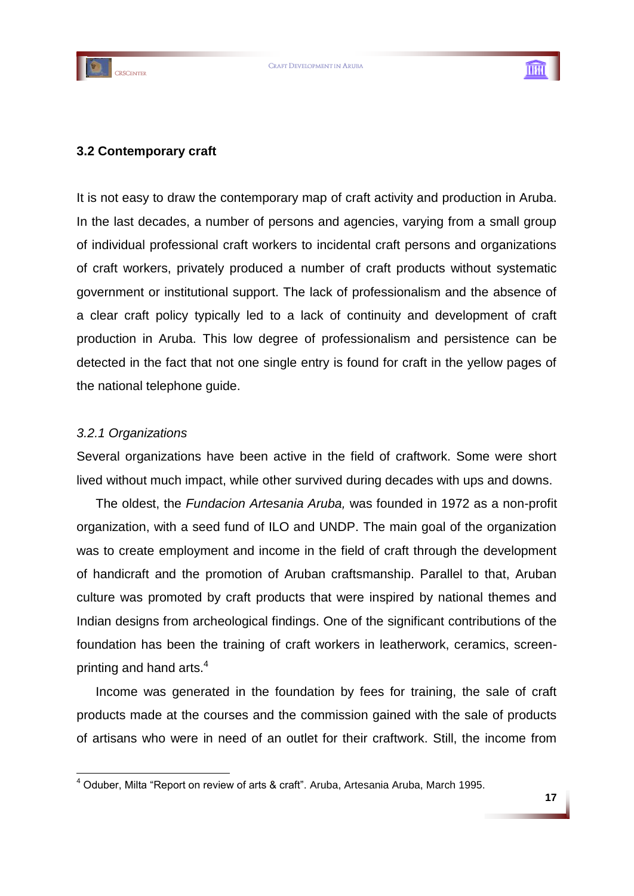



# **3.2 Contemporary craft**

It is not easy to draw the contemporary map of craft activity and production in Aruba. In the last decades, a number of persons and agencies, varying from a small group of individual professional craft workers to incidental craft persons and organizations of craft workers, privately produced a number of craft products without systematic government or institutional support. The lack of professionalism and the absence of a clear craft policy typically led to a lack of continuity and development of craft production in Aruba. This low degree of professionalism and persistence can be detected in the fact that not one single entry is found for craft in the yellow pages of the national telephone guide.

# *3.2.1 Organizations*

1

Several organizations have been active in the field of craftwork. Some were short lived without much impact, while other survived during decades with ups and downs.

The oldest, the *Fundacion Artesania Aruba,* was founded in 1972 as a non-profit organization, with a seed fund of ILO and UNDP. The main goal of the organization was to create employment and income in the field of craft through the development of handicraft and the promotion of Aruban craftsmanship. Parallel to that, Aruban culture was promoted by craft products that were inspired by national themes and Indian designs from archeological findings. One of the significant contributions of the foundation has been the training of craft workers in leatherwork, ceramics, screenprinting and hand arts.<sup>4</sup>

Income was generated in the foundation by fees for training, the sale of craft products made at the courses and the commission gained with the sale of products of artisans who were in need of an outlet for their craftwork. Still, the income from

<sup>&</sup>lt;sup>4</sup> Oduber, Milta "Report on review of arts & craft". Aruba, Artesania Aruba, March 1995.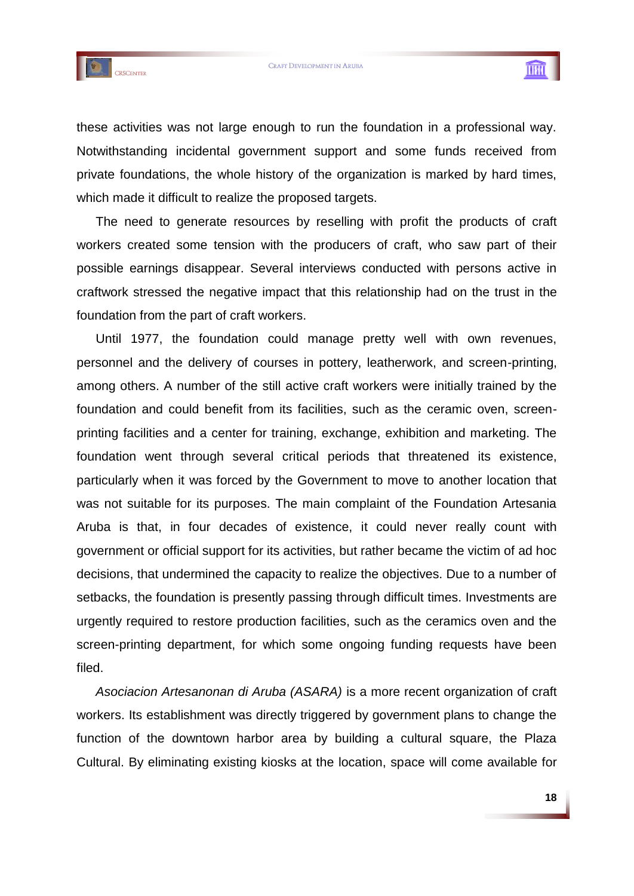

THU

these activities was not large enough to run the foundation in a professional way. Notwithstanding incidental government support and some funds received from private foundations, the whole history of the organization is marked by hard times, which made it difficult to realize the proposed targets.

The need to generate resources by reselling with profit the products of craft workers created some tension with the producers of craft, who saw part of their possible earnings disappear. Several interviews conducted with persons active in craftwork stressed the negative impact that this relationship had on the trust in the foundation from the part of craft workers.

Until 1977, the foundation could manage pretty well with own revenues, personnel and the delivery of courses in pottery, leatherwork, and screen-printing, among others. A number of the still active craft workers were initially trained by the foundation and could benefit from its facilities, such as the ceramic oven, screenprinting facilities and a center for training, exchange, exhibition and marketing. The foundation went through several critical periods that threatened its existence, particularly when it was forced by the Government to move to another location that was not suitable for its purposes. The main complaint of the Foundation Artesania Aruba is that, in four decades of existence, it could never really count with government or official support for its activities, but rather became the victim of ad hoc decisions, that undermined the capacity to realize the objectives. Due to a number of setbacks, the foundation is presently passing through difficult times. Investments are urgently required to restore production facilities, such as the ceramics oven and the screen-printing department, for which some ongoing funding requests have been filed.

*Asociacion Artesanonan di Aruba (ASARA)* is a more recent organization of craft workers. Its establishment was directly triggered by government plans to change the function of the downtown harbor area by building a cultural square, the Plaza Cultural. By eliminating existing kiosks at the location, space will come available for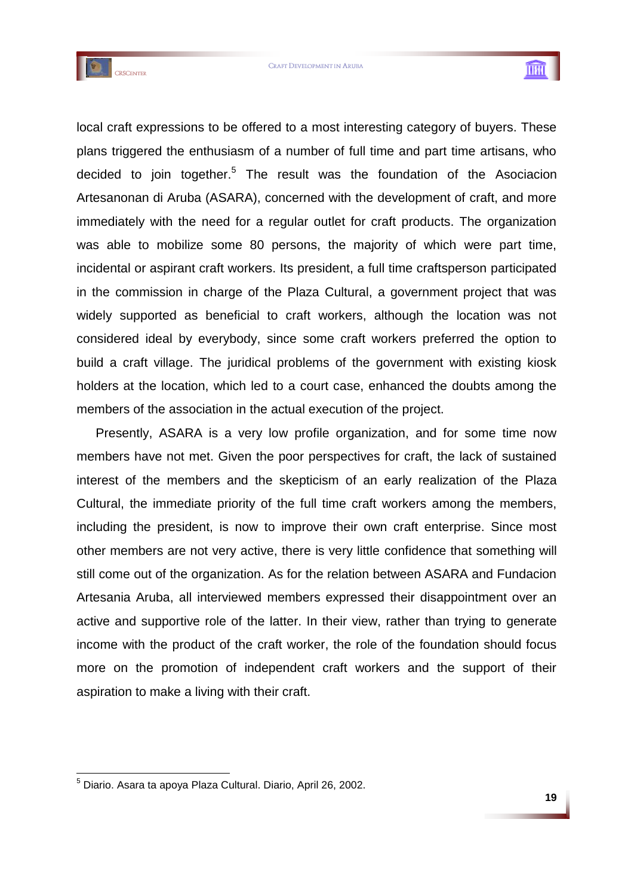



local craft expressions to be offered to a most interesting category of buyers. These plans triggered the enthusiasm of a number of full time and part time artisans, who decided to join together.<sup>5</sup> The result was the foundation of the Asociacion Artesanonan di Aruba (ASARA), concerned with the development of craft, and more immediately with the need for a regular outlet for craft products. The organization was able to mobilize some 80 persons, the majority of which were part time, incidental or aspirant craft workers. Its president, a full time craftsperson participated in the commission in charge of the Plaza Cultural, a government project that was widely supported as beneficial to craft workers, although the location was not considered ideal by everybody, since some craft workers preferred the option to build a craft village. The juridical problems of the government with existing kiosk holders at the location, which led to a court case, enhanced the doubts among the members of the association in the actual execution of the project.

Presently, ASARA is a very low profile organization, and for some time now members have not met. Given the poor perspectives for craft, the lack of sustained interest of the members and the skepticism of an early realization of the Plaza Cultural, the immediate priority of the full time craft workers among the members, including the president, is now to improve their own craft enterprise. Since most other members are not very active, there is very little confidence that something will still come out of the organization. As for the relation between ASARA and Fundacion Artesania Aruba, all interviewed members expressed their disappointment over an active and supportive role of the latter. In their view, rather than trying to generate income with the product of the craft worker, the role of the foundation should focus more on the promotion of independent craft workers and the support of their aspiration to make a living with their craft.

1

<sup>5</sup> Diario. Asara ta apoya Plaza Cultural. Diario, April 26, 2002.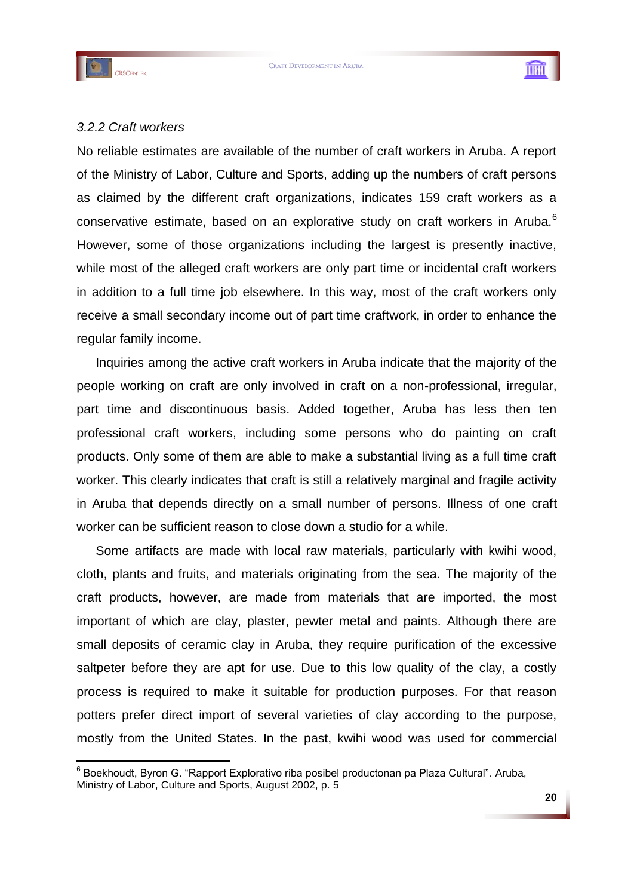

1



### *3.2.2 Craft workers*

No reliable estimates are available of the number of craft workers in Aruba. A report of the Ministry of Labor, Culture and Sports, adding up the numbers of craft persons as claimed by the different craft organizations, indicates 159 craft workers as a conservative estimate, based on an explorative study on craft workers in Aruba.<sup>6</sup> However, some of those organizations including the largest is presently inactive, while most of the alleged craft workers are only part time or incidental craft workers in addition to a full time job elsewhere. In this way, most of the craft workers only receive a small secondary income out of part time craftwork, in order to enhance the regular family income.

Inquiries among the active craft workers in Aruba indicate that the majority of the people working on craft are only involved in craft on a non-professional, irregular, part time and discontinuous basis. Added together, Aruba has less then ten professional craft workers, including some persons who do painting on craft products. Only some of them are able to make a substantial living as a full time craft worker. This clearly indicates that craft is still a relatively marginal and fragile activity in Aruba that depends directly on a small number of persons. Illness of one craft worker can be sufficient reason to close down a studio for a while.

Some artifacts are made with local raw materials, particularly with kwihi wood, cloth, plants and fruits, and materials originating from the sea. The majority of the craft products, however, are made from materials that are imported, the most important of which are clay, plaster, pewter metal and paints. Although there are small deposits of ceramic clay in Aruba, they require purification of the excessive saltpeter before they are apt for use. Due to this low quality of the clay, a costly process is required to make it suitable for production purposes. For that reason potters prefer direct import of several varieties of clay according to the purpose, mostly from the United States. In the past, kwihi wood was used for commercial

<sup>&</sup>lt;sup>6</sup> Boekhoudt, Byron G. "Rapport Explorativo riba posibel productonan pa Plaza Cultural". Aruba, Ministry of Labor, Culture and Sports, August 2002, p. 5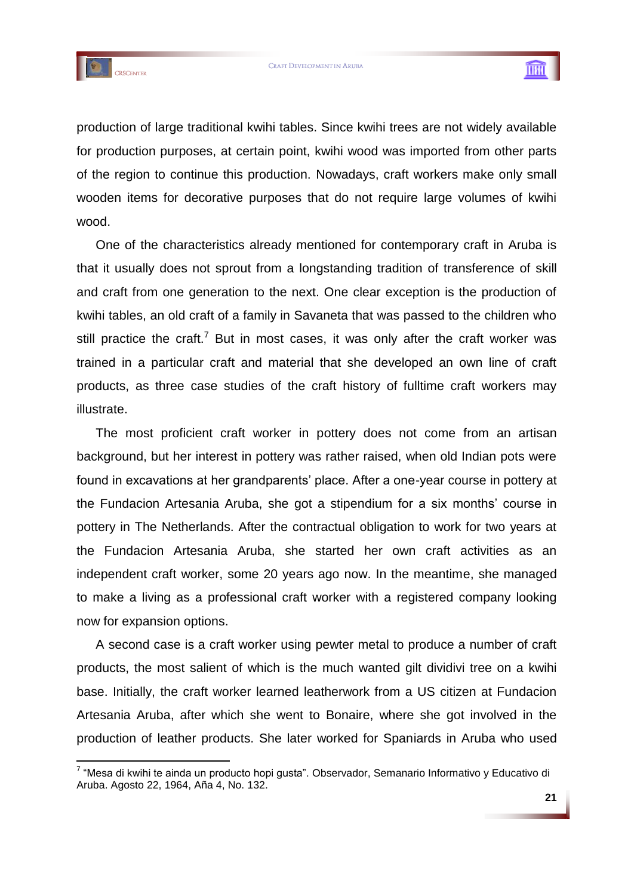

1



production of large traditional kwihi tables. Since kwihi trees are not widely available for production purposes, at certain point, kwihi wood was imported from other parts of the region to continue this production. Nowadays, craft workers make only small wooden items for decorative purposes that do not require large volumes of kwihi wood.

One of the characteristics already mentioned for contemporary craft in Aruba is that it usually does not sprout from a longstanding tradition of transference of skill and craft from one generation to the next. One clear exception is the production of kwihi tables, an old craft of a family in Savaneta that was passed to the children who still practice the craft.<sup>7</sup> But in most cases, it was only after the craft worker was trained in a particular craft and material that she developed an own line of craft products, as three case studies of the craft history of fulltime craft workers may illustrate.

The most proficient craft worker in pottery does not come from an artisan background, but her interest in pottery was rather raised, when old Indian pots were found in excavations at her grandparents" place. After a one-year course in pottery at the Fundacion Artesania Aruba, she got a stipendium for a six months" course in pottery in The Netherlands. After the contractual obligation to work for two years at the Fundacion Artesania Aruba, she started her own craft activities as an independent craft worker, some 20 years ago now. In the meantime, she managed to make a living as a professional craft worker with a registered company looking now for expansion options.

A second case is a craft worker using pewter metal to produce a number of craft products, the most salient of which is the much wanted gilt dividivi tree on a kwihi base. Initially, the craft worker learned leatherwork from a US citizen at Fundacion Artesania Aruba, after which she went to Bonaire, where she got involved in the production of leather products. She later worked for Spaniards in Aruba who used

<sup>&</sup>lt;sup>7</sup> "Mesa di kwihi te ainda un producto hopi gusta". Observador, Semanario Informativo y Educativo di Aruba. Agosto 22, 1964, Aña 4, No. 132.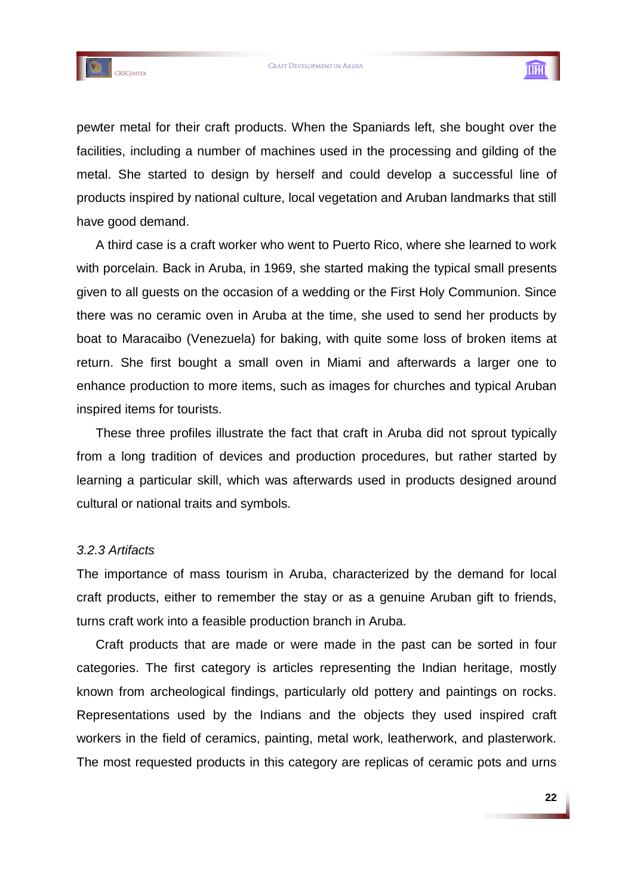



pewter metal for their craft products. When the Spaniards left, she bought over the facilities, including a number of machines used in the processing and gilding of the metal. She started to design by herself and could develop a successful line of products inspired by national culture, local vegetation and Aruban landmarks that still have good demand.

A third case is a craft worker who went to Puerto Rico, where she learned to work with porcelain. Back in Aruba, in 1969, she started making the typical small presents given to all guests on the occasion of a wedding or the First Holy Communion. Since there was no ceramic oven in Aruba at the time, she used to send her products by boat to Maracaibo (Venezuela) for baking, with quite some loss of broken items at return. She first bought a small oven in Miami and afterwards a larger one to enhance production to more items, such as images for churches and typical Aruban inspired items for tourists.

These three profiles illustrate the fact that craft in Aruba did not sprout typically from a long tradition of devices and production procedures, but rather started by learning a particular skill, which was afterwards used in products designed around cultural or national traits and symbols.

#### *3.2.3 Artifacts*

The importance of mass tourism in Aruba, characterized by the demand for local craft products, either to remember the stay or as a genuine Aruban gift to friends, turns craft work into a feasible production branch in Aruba.

Craft products that are made or were made in the past can be sorted in four categories. The first category is articles representing the Indian heritage, mostly known from archeological findings, particularly old pottery and paintings on rocks. Representations used by the Indians and the objects they used inspired craft workers in the field of ceramics, painting, metal work, leatherwork, and plasterwork. The most requested products in this category are replicas of ceramic pots and urns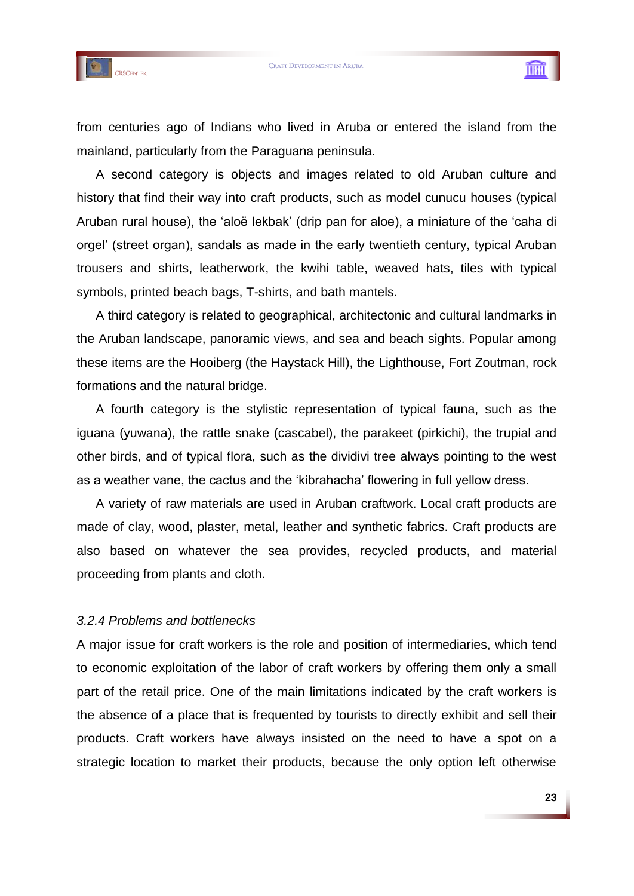



TH

from centuries ago of Indians who lived in Aruba or entered the island from the mainland, particularly from the Paraguana peninsula.

A second category is objects and images related to old Aruban culture and history that find their way into craft products, such as model cunucu houses (typical Aruban rural house), the "aloë lekbak" (drip pan for aloe), a miniature of the "caha di orgel" (street organ), sandals as made in the early twentieth century, typical Aruban trousers and shirts, leatherwork, the kwihi table, weaved hats, tiles with typical symbols, printed beach bags, T-shirts, and bath mantels.

A third category is related to geographical, architectonic and cultural landmarks in the Aruban landscape, panoramic views, and sea and beach sights. Popular among these items are the Hooiberg (the Haystack Hill), the Lighthouse, Fort Zoutman, rock formations and the natural bridge.

A fourth category is the stylistic representation of typical fauna, such as the iguana (yuwana), the rattle snake (cascabel), the parakeet (pirkichi), the trupial and other birds, and of typical flora, such as the dividivi tree always pointing to the west as a weather vane, the cactus and the "kibrahacha" flowering in full yellow dress.

A variety of raw materials are used in Aruban craftwork. Local craft products are made of clay, wood, plaster, metal, leather and synthetic fabrics. Craft products are also based on whatever the sea provides, recycled products, and material proceeding from plants and cloth.

# *3.2.4 Problems and bottlenecks*

A major issue for craft workers is the role and position of intermediaries, which tend to economic exploitation of the labor of craft workers by offering them only a small part of the retail price. One of the main limitations indicated by the craft workers is the absence of a place that is frequented by tourists to directly exhibit and sell their products. Craft workers have always insisted on the need to have a spot on a strategic location to market their products, because the only option left otherwise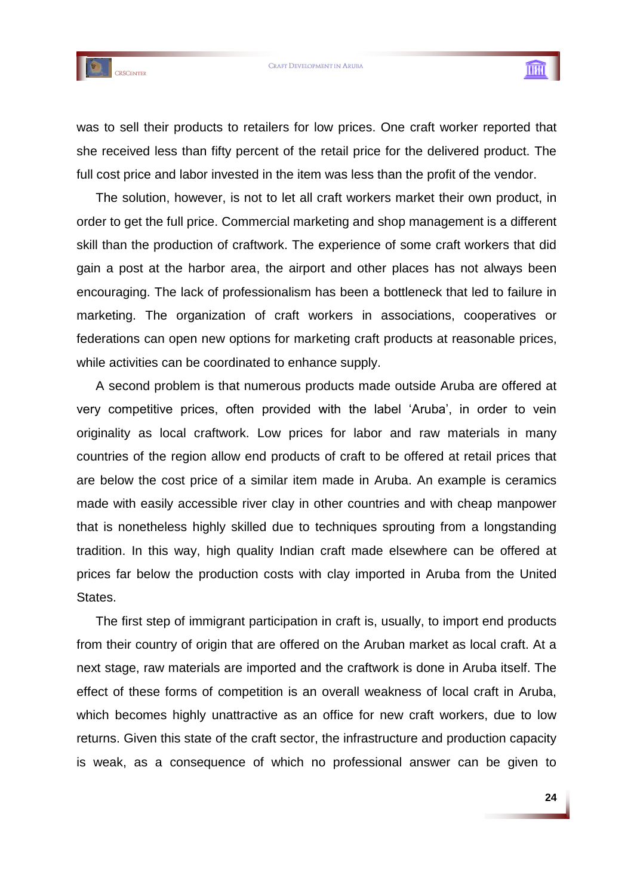



was to sell their products to retailers for low prices. One craft worker reported that she received less than fifty percent of the retail price for the delivered product. The full cost price and labor invested in the item was less than the profit of the vendor.

The solution, however, is not to let all craft workers market their own product, in order to get the full price. Commercial marketing and shop management is a different skill than the production of craftwork. The experience of some craft workers that did gain a post at the harbor area, the airport and other places has not always been encouraging. The lack of professionalism has been a bottleneck that led to failure in marketing. The organization of craft workers in associations, cooperatives or federations can open new options for marketing craft products at reasonable prices, while activities can be coordinated to enhance supply.

A second problem is that numerous products made outside Aruba are offered at very competitive prices, often provided with the label 'Aruba', in order to vein originality as local craftwork. Low prices for labor and raw materials in many countries of the region allow end products of craft to be offered at retail prices that are below the cost price of a similar item made in Aruba. An example is ceramics made with easily accessible river clay in other countries and with cheap manpower that is nonetheless highly skilled due to techniques sprouting from a longstanding tradition. In this way, high quality Indian craft made elsewhere can be offered at prices far below the production costs with clay imported in Aruba from the United States.

The first step of immigrant participation in craft is, usually, to import end products from their country of origin that are offered on the Aruban market as local craft. At a next stage, raw materials are imported and the craftwork is done in Aruba itself. The effect of these forms of competition is an overall weakness of local craft in Aruba, which becomes highly unattractive as an office for new craft workers, due to low returns. Given this state of the craft sector, the infrastructure and production capacity is weak, as a consequence of which no professional answer can be given to

THU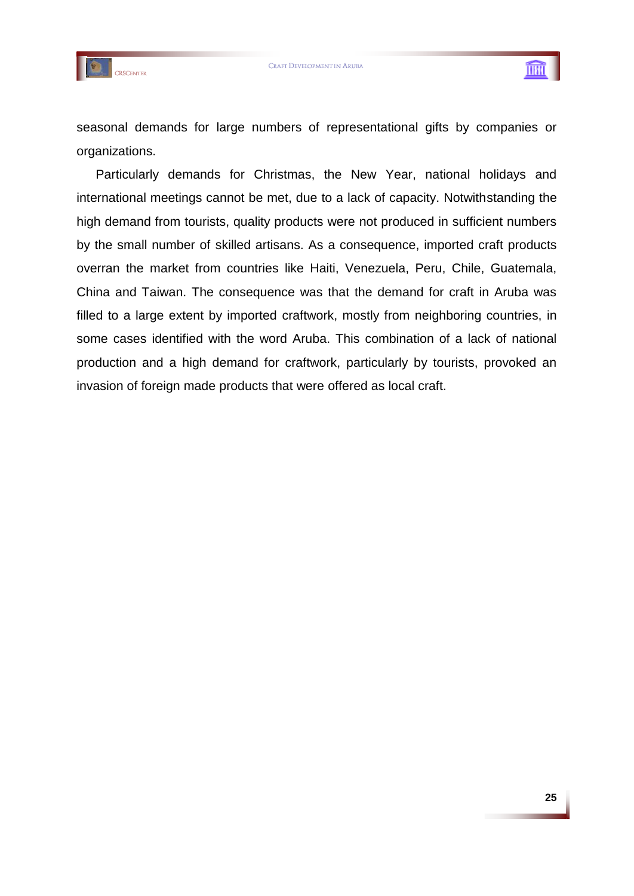



seasonal demands for large numbers of representational gifts by companies or organizations.

Particularly demands for Christmas, the New Year, national holidays and international meetings cannot be met, due to a lack of capacity. Notwithstanding the high demand from tourists, quality products were not produced in sufficient numbers by the small number of skilled artisans. As a consequence, imported craft products overran the market from countries like Haiti, Venezuela, Peru, Chile, Guatemala, China and Taiwan. The consequence was that the demand for craft in Aruba was filled to a large extent by imported craftwork, mostly from neighboring countries, in some cases identified with the word Aruba. This combination of a lack of national production and a high demand for craftwork, particularly by tourists, provoked an invasion of foreign made products that were offered as local craft.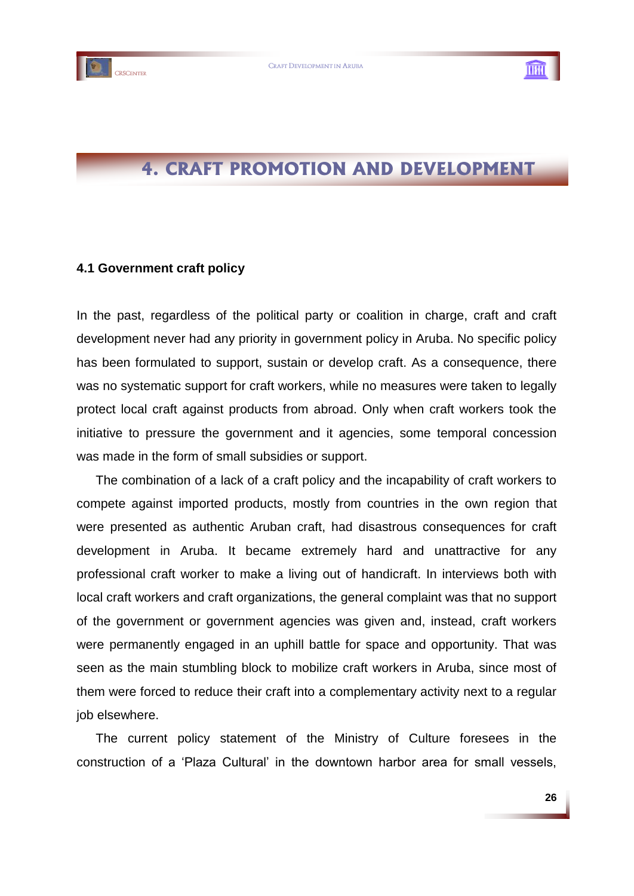



# **4. CRAFT PROMOTION AND DEVELOPMENT**

#### **4.1 Government craft policy**

In the past, regardless of the political party or coalition in charge, craft and craft development never had any priority in government policy in Aruba. No specific policy has been formulated to support, sustain or develop craft. As a consequence, there was no systematic support for craft workers, while no measures were taken to legally protect local craft against products from abroad. Only when craft workers took the initiative to pressure the government and it agencies, some temporal concession was made in the form of small subsidies or support.

The combination of a lack of a craft policy and the incapability of craft workers to compete against imported products, mostly from countries in the own region that were presented as authentic Aruban craft, had disastrous consequences for craft development in Aruba. It became extremely hard and unattractive for any professional craft worker to make a living out of handicraft. In interviews both with local craft workers and craft organizations, the general complaint was that no support of the government or government agencies was given and, instead, craft workers were permanently engaged in an uphill battle for space and opportunity. That was seen as the main stumbling block to mobilize craft workers in Aruba, since most of them were forced to reduce their craft into a complementary activity next to a regular job elsewhere.

The current policy statement of the Ministry of Culture foresees in the construction of a "Plaza Cultural" in the downtown harbor area for small vessels,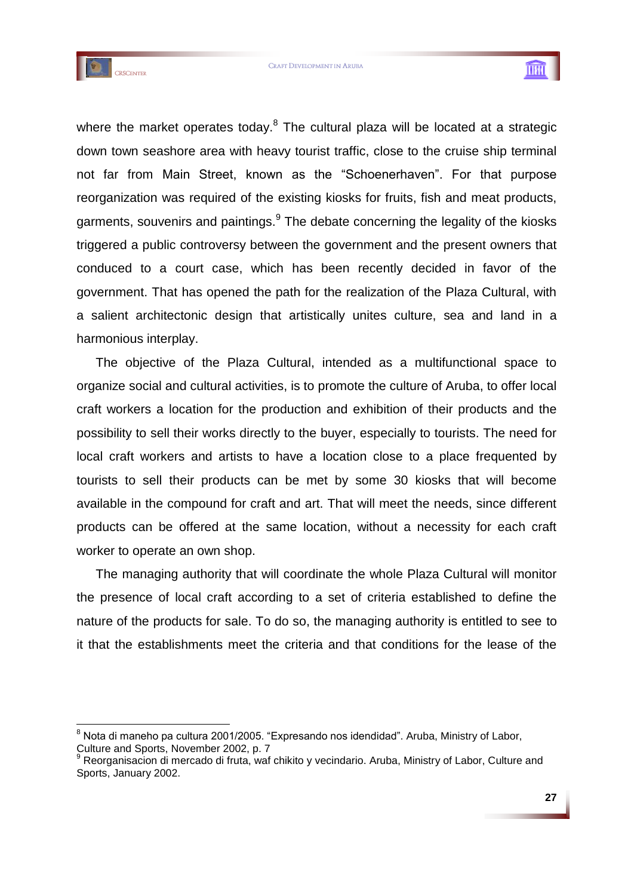

1



where the market operates today.<sup>8</sup> The cultural plaza will be located at a strategic down town seashore area with heavy tourist traffic, close to the cruise ship terminal not far from Main Street, known as the "Schoenerhaven". For that purpose reorganization was required of the existing kiosks for fruits, fish and meat products, garments, souvenirs and paintings.<sup>9</sup> The debate concerning the legality of the kiosks triggered a public controversy between the government and the present owners that conduced to a court case, which has been recently decided in favor of the government. That has opened the path for the realization of the Plaza Cultural, with a salient architectonic design that artistically unites culture, sea and land in a harmonious interplay.

The objective of the Plaza Cultural, intended as a multifunctional space to organize social and cultural activities, is to promote the culture of Aruba, to offer local craft workers a location for the production and exhibition of their products and the possibility to sell their works directly to the buyer, especially to tourists. The need for local craft workers and artists to have a location close to a place frequented by tourists to sell their products can be met by some 30 kiosks that will become available in the compound for craft and art. That will meet the needs, since different products can be offered at the same location, without a necessity for each craft worker to operate an own shop.

The managing authority that will coordinate the whole Plaza Cultural will monitor the presence of local craft according to a set of criteria established to define the nature of the products for sale. To do so, the managing authority is entitled to see to it that the establishments meet the criteria and that conditions for the lease of the

<sup>&</sup>lt;sup>8</sup> Nota di maneho pa cultura 2001/2005. "Expresando nos idendidad". Aruba, Ministry of Labor, Culture and Sports, November 2002, p. 7<br><sup>9</sup> Recreasing the state of the Sports of the Sports of Sports of Sports of Sports of Sports of Sports and Sports Sports of Sports Sports of Sports Sports Sports Sports Sports Sports

Reorganisacion di mercado di fruta, waf chikito y vecindario. Aruba, Ministry of Labor, Culture and Sports, January 2002.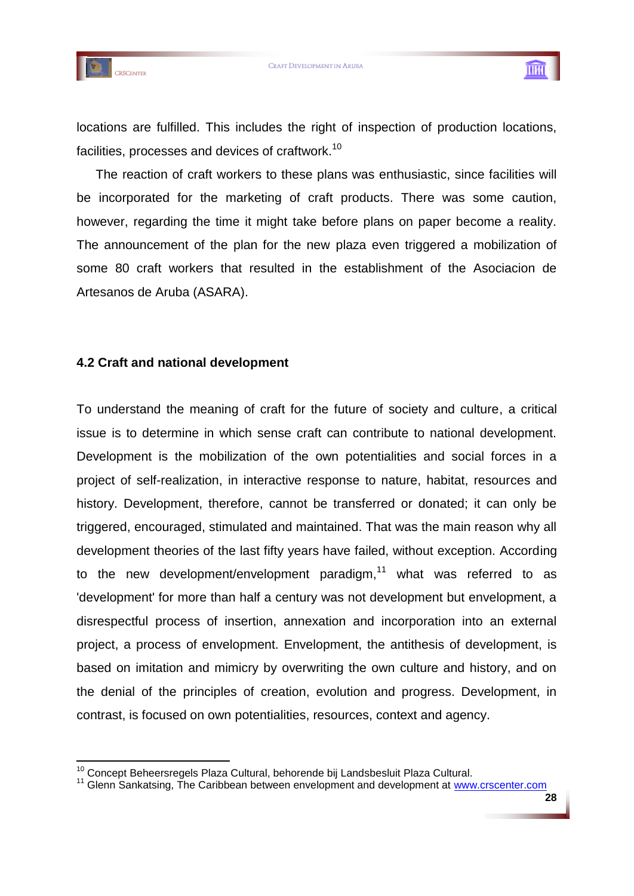

1



locations are fulfilled. This includes the right of inspection of production locations, facilities, processes and devices of craftwork.<sup>10</sup>

The reaction of craft workers to these plans was enthusiastic, since facilities will be incorporated for the marketing of craft products. There was some caution, however, regarding the time it might take before plans on paper become a reality. The announcement of the plan for the new plaza even triggered a mobilization of some 80 craft workers that resulted in the establishment of the Asociacion de Artesanos de Aruba (ASARA).

# **4.2 Craft and national development**

To understand the meaning of craft for the future of society and culture, a critical issue is to determine in which sense craft can contribute to national development. Development is the mobilization of the own potentialities and social forces in a project of self-realization, in interactive response to nature, habitat, resources and history. Development, therefore, cannot be transferred or donated; it can only be triggered, encouraged, stimulated and maintained. That was the main reason why all development theories of the last fifty years have failed, without exception. According to the new development/envelopment paradigm, $11$  what was referred to as 'development' for more than half a century was not development but envelopment, a disrespectful process of insertion, annexation and incorporation into an external project, a process of envelopment. Envelopment, the antithesis of development, is based on imitation and mimicry by overwriting the own culture and history, and on the denial of the principles of creation, evolution and progress. Development, in contrast, is focused on own potentialities, resources, context and agency.

<sup>&</sup>lt;sup>10</sup> Concept Beheersregels Plaza Cultural, behorende bij Landsbesluit Plaza Cultural.

<sup>&</sup>lt;sup>11</sup> Glenn Sankatsing, The Caribbean between envelopment and development at [www.crscenter.com](http://www.crscenter.com/)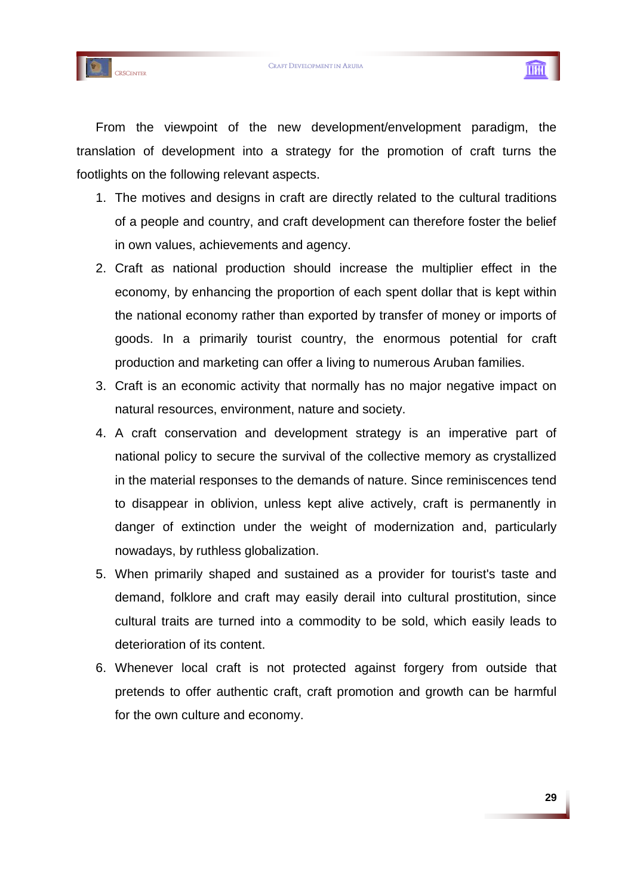





From the viewpoint of the new development/envelopment paradigm, the translation of development into a strategy for the promotion of craft turns the footlights on the following relevant aspects.

- 1. The motives and designs in craft are directly related to the cultural traditions of a people and country, and craft development can therefore foster the belief in own values, achievements and agency.
- 2. Craft as national production should increase the multiplier effect in the economy, by enhancing the proportion of each spent dollar that is kept within the national economy rather than exported by transfer of money or imports of goods. In a primarily tourist country, the enormous potential for craft production and marketing can offer a living to numerous Aruban families.
- 3. Craft is an economic activity that normally has no major negative impact on natural resources, environment, nature and society.
- 4. A craft conservation and development strategy is an imperative part of national policy to secure the survival of the collective memory as crystallized in the material responses to the demands of nature. Since reminiscences tend to disappear in oblivion, unless kept alive actively, craft is permanently in danger of extinction under the weight of modernization and, particularly nowadays, by ruthless globalization.
- 5. When primarily shaped and sustained as a provider for tourist's taste and demand, folklore and craft may easily derail into cultural prostitution, since cultural traits are turned into a commodity to be sold, which easily leads to deterioration of its content.
- 6. Whenever local craft is not protected against forgery from outside that pretends to offer authentic craft, craft promotion and growth can be harmful for the own culture and economy.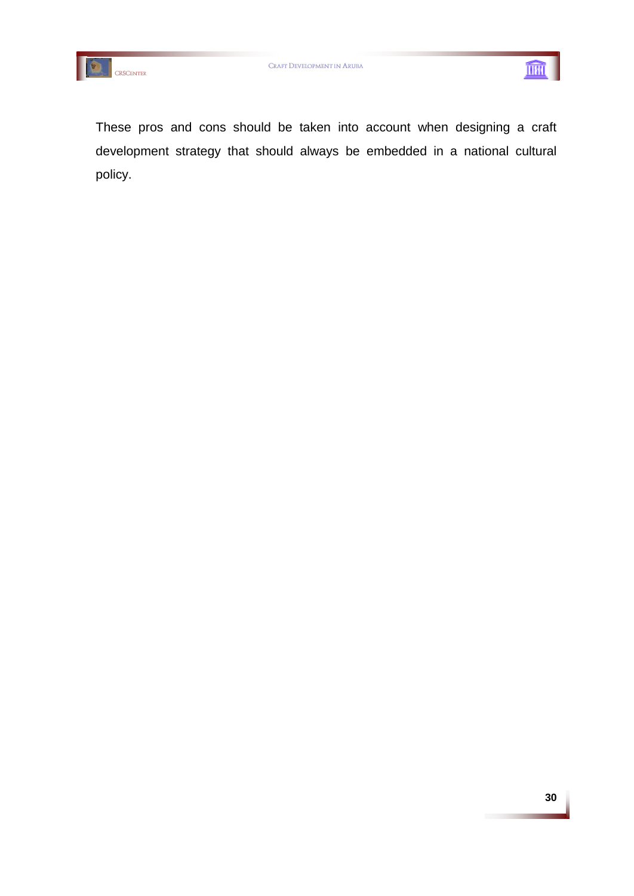



These pros and cons should be taken into account when designing a craft development strategy that should always be embedded in a national cultural policy.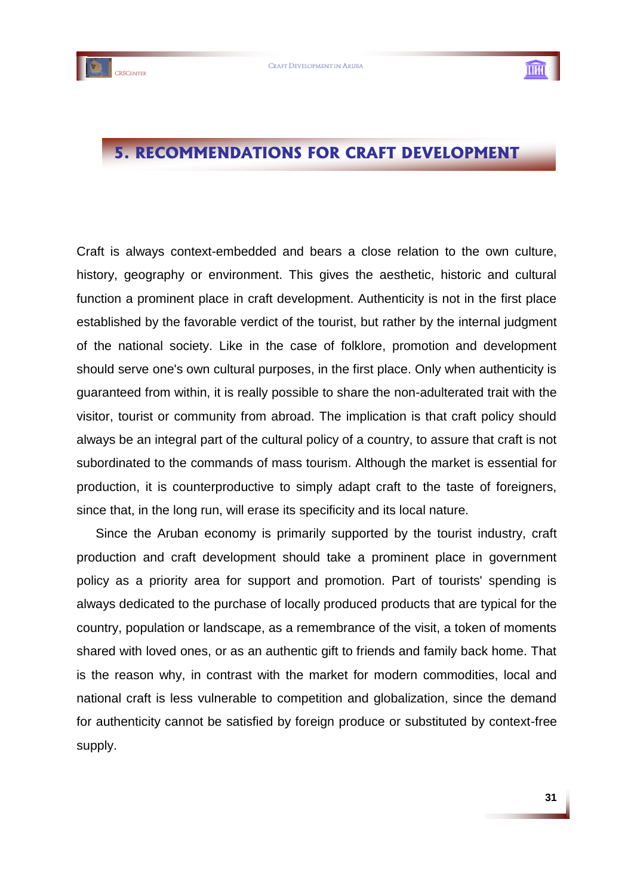

# **5. RECOMMENDATIONS FOR CRAFT DEVELOPMENT**

Craft is always context-embedded and bears a close relation to the own culture, history, geography or environment. This gives the aesthetic, historic and cultural function a prominent place in craft development. Authenticity is not in the first place established by the favorable verdict of the tourist, but rather by the internal judgment of the national society. Like in the case of folklore, promotion and development should serve one's own cultural purposes, in the first place. Only when authenticity is guaranteed from within, it is really possible to share the non-adulterated trait with the visitor, tourist or community from abroad. The implication is that craft policy should always be an integral part of the cultural policy of a country, to assure that craft is not subordinated to the commands of mass tourism. Although the market is essential for production, it is counterproductive to simply adapt craft to the taste of foreigners, since that, in the long run, will erase its specificity and its local nature.

Since the Aruban economy is primarily supported by the tourist industry, craft production and craft development should take a prominent place in government policy as a priority area for support and promotion. Part of tourists' spending is always dedicated to the purchase of locally produced products that are typical for the country, population or landscape, as a remembrance of the visit, a token of moments shared with loved ones, or as an authentic gift to friends and family back home. That is the reason why, in contrast with the market for modern commodities, local and national craft is less vulnerable to competition and globalization, since the demand for authenticity cannot be satisfied by foreign produce or substituted by context-free supply.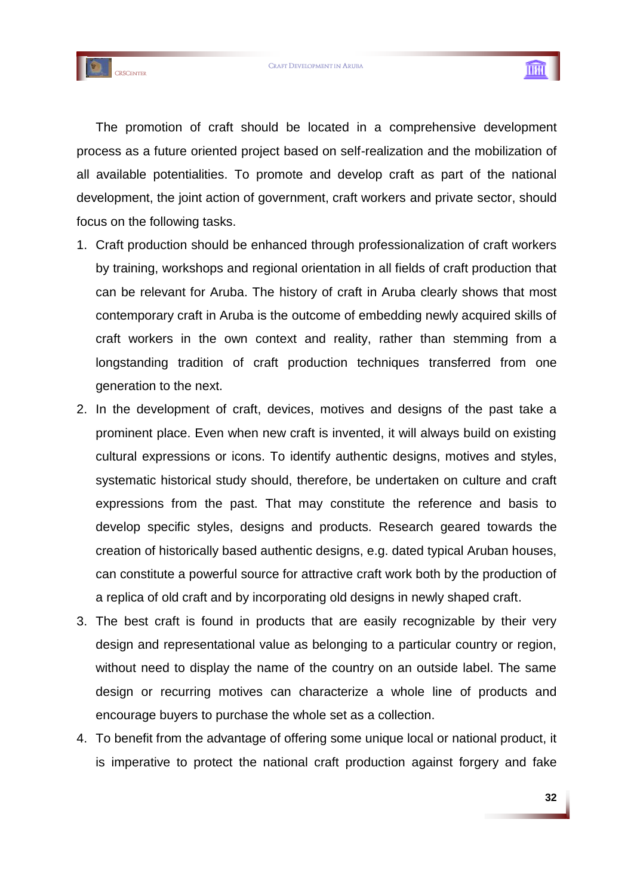



The promotion of craft should be located in a comprehensive development process as a future oriented project based on self-realization and the mobilization of all available potentialities. To promote and develop craft as part of the national development, the joint action of government, craft workers and private sector, should focus on the following tasks.

- 1. Craft production should be enhanced through professionalization of craft workers by training, workshops and regional orientation in all fields of craft production that can be relevant for Aruba. The history of craft in Aruba clearly shows that most contemporary craft in Aruba is the outcome of embedding newly acquired skills of craft workers in the own context and reality, rather than stemming from a longstanding tradition of craft production techniques transferred from one generation to the next.
- 2. In the development of craft, devices, motives and designs of the past take a prominent place. Even when new craft is invented, it will always build on existing cultural expressions or icons. To identify authentic designs, motives and styles, systematic historical study should, therefore, be undertaken on culture and craft expressions from the past. That may constitute the reference and basis to develop specific styles, designs and products. Research geared towards the creation of historically based authentic designs, e.g. dated typical Aruban houses, can constitute a powerful source for attractive craft work both by the production of a replica of old craft and by incorporating old designs in newly shaped craft.
- 3. The best craft is found in products that are easily recognizable by their very design and representational value as belonging to a particular country or region, without need to display the name of the country on an outside label. The same design or recurring motives can characterize a whole line of products and encourage buyers to purchase the whole set as a collection.
- 4. To benefit from the advantage of offering some unique local or national product, it is imperative to protect the national craft production against forgery and fake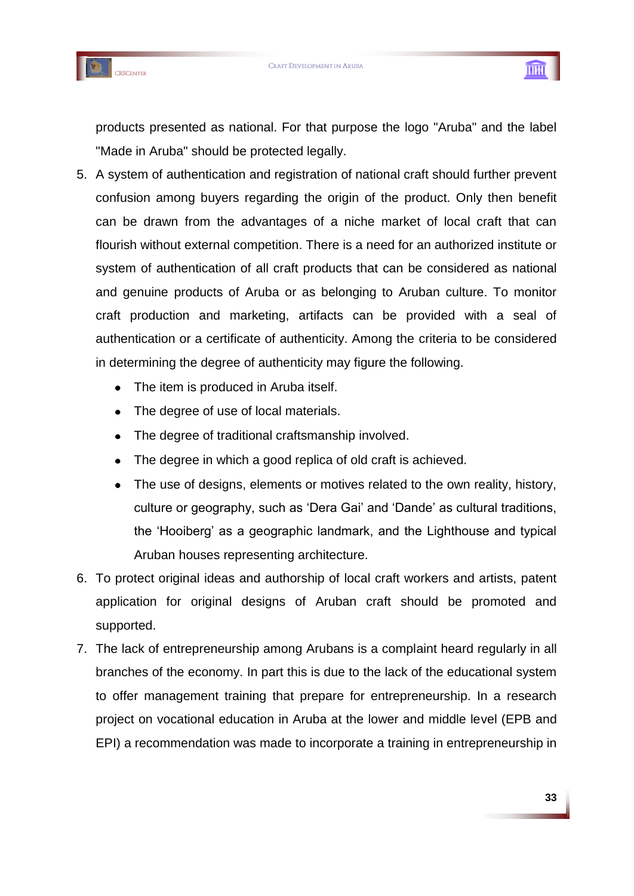





products presented as national. For that purpose the logo "Aruba" and the label "Made in Aruba" should be protected legally.

- 5. A system of authentication and registration of national craft should further prevent confusion among buyers regarding the origin of the product. Only then benefit can be drawn from the advantages of a niche market of local craft that can flourish without external competition. There is a need for an authorized institute or system of authentication of all craft products that can be considered as national and genuine products of Aruba or as belonging to Aruban culture. To monitor craft production and marketing, artifacts can be provided with a seal of authentication or a certificate of authenticity. Among the criteria to be considered in determining the degree of authenticity may figure the following.
	- The item is produced in Aruba itself.  $\bullet$
	- The degree of use of local materials.
	- The degree of traditional craftsmanship involved.  $\bullet$
	- The degree in which a good replica of old craft is achieved.  $\bullet$
	- The use of designs, elements or motives related to the own reality, history, culture or geography, such as "Dera Gai" and "Dande" as cultural traditions, the "Hooiberg" as a geographic landmark, and the Lighthouse and typical Aruban houses representing architecture.
- 6. To protect original ideas and authorship of local craft workers and artists, patent application for original designs of Aruban craft should be promoted and supported.
- 7. The lack of entrepreneurship among Arubans is a complaint heard regularly in all branches of the economy. In part this is due to the lack of the educational system to offer management training that prepare for entrepreneurship. In a research project on vocational education in Aruba at the lower and middle level (EPB and EPI) a recommendation was made to incorporate a training in entrepreneurship in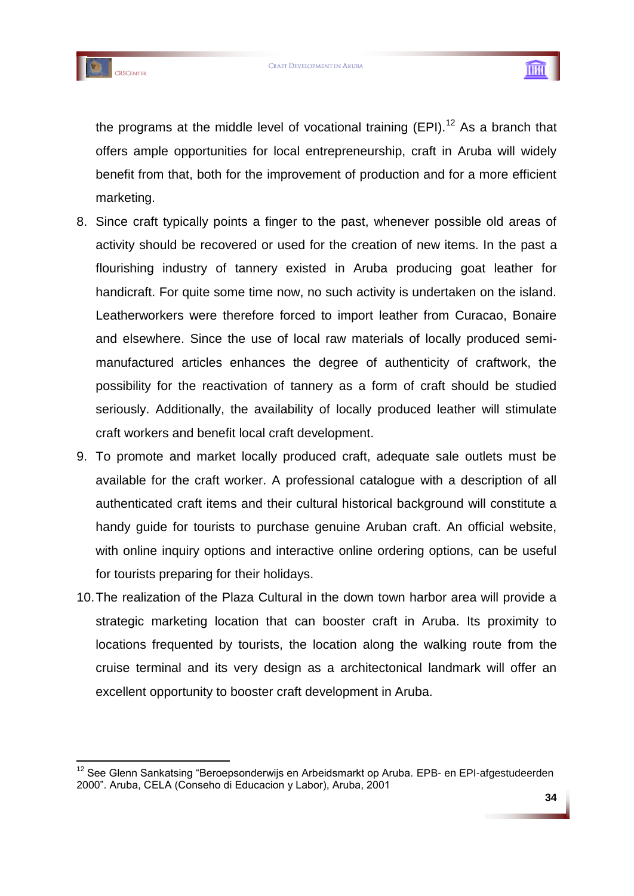



1



the programs at the middle level of vocational training  $(EPI)$ .<sup>12</sup> As a branch that offers ample opportunities for local entrepreneurship, craft in Aruba will widely benefit from that, both for the improvement of production and for a more efficient marketing.

- 8. Since craft typically points a finger to the past, whenever possible old areas of activity should be recovered or used for the creation of new items. In the past a flourishing industry of tannery existed in Aruba producing goat leather for handicraft. For quite some time now, no such activity is undertaken on the island. Leatherworkers were therefore forced to import leather from Curacao, Bonaire and elsewhere. Since the use of local raw materials of locally produced semimanufactured articles enhances the degree of authenticity of craftwork, the possibility for the reactivation of tannery as a form of craft should be studied seriously. Additionally, the availability of locally produced leather will stimulate craft workers and benefit local craft development.
- 9. To promote and market locally produced craft, adequate sale outlets must be available for the craft worker. A professional catalogue with a description of all authenticated craft items and their cultural historical background will constitute a handy guide for tourists to purchase genuine Aruban craft. An official website, with online inquiry options and interactive online ordering options, can be useful for tourists preparing for their holidays.
- 10.The realization of the Plaza Cultural in the down town harbor area will provide a strategic marketing location that can booster craft in Aruba. Its proximity to locations frequented by tourists, the location along the walking route from the cruise terminal and its very design as a architectonical landmark will offer an excellent opportunity to booster craft development in Aruba.

<sup>&</sup>lt;sup>12</sup> See Glenn Sankatsing "Beroepsonderwijs en Arbeidsmarkt op Aruba. EPB- en EPI-afgestudeerden 2000". Aruba, CELA (Conseho di Educacion y Labor), Aruba, 2001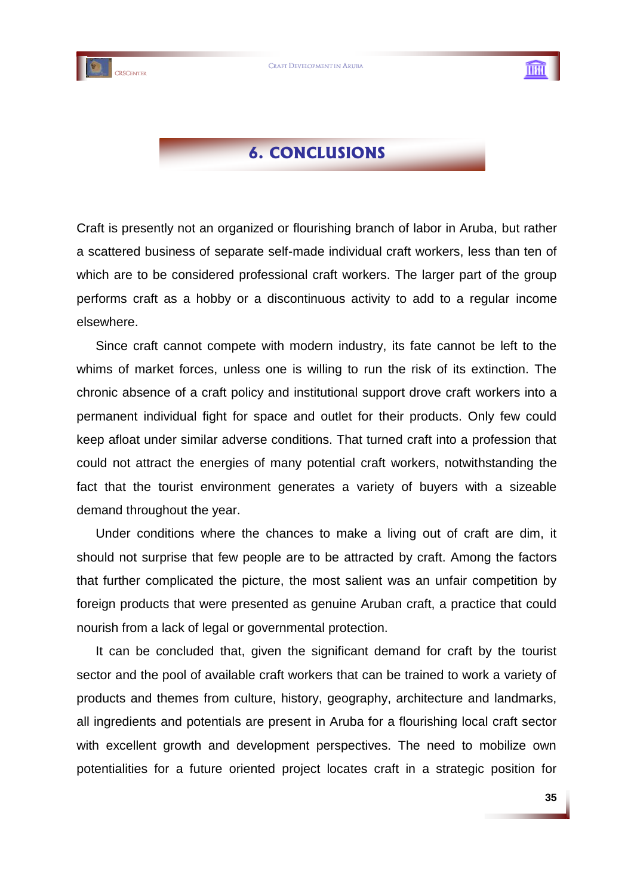





# **6. CONCLUSIONS**

Craft is presently not an organized or flourishing branch of labor in Aruba, but rather a scattered business of separate self-made individual craft workers, less than ten of which are to be considered professional craft workers. The larger part of the group performs craft as a hobby or a discontinuous activity to add to a regular income elsewhere.

Since craft cannot compete with modern industry, its fate cannot be left to the whims of market forces, unless one is willing to run the risk of its extinction. The chronic absence of a craft policy and institutional support drove craft workers into a permanent individual fight for space and outlet for their products. Only few could keep afloat under similar adverse conditions. That turned craft into a profession that could not attract the energies of many potential craft workers, notwithstanding the fact that the tourist environment generates a variety of buyers with a sizeable demand throughout the year.

Under conditions where the chances to make a living out of craft are dim, it should not surprise that few people are to be attracted by craft. Among the factors that further complicated the picture, the most salient was an unfair competition by foreign products that were presented as genuine Aruban craft, a practice that could nourish from a lack of legal or governmental protection.

It can be concluded that, given the significant demand for craft by the tourist sector and the pool of available craft workers that can be trained to work a variety of products and themes from culture, history, geography, architecture and landmarks, all ingredients and potentials are present in Aruba for a flourishing local craft sector with excellent growth and development perspectives. The need to mobilize own potentialities for a future oriented project locates craft in a strategic position for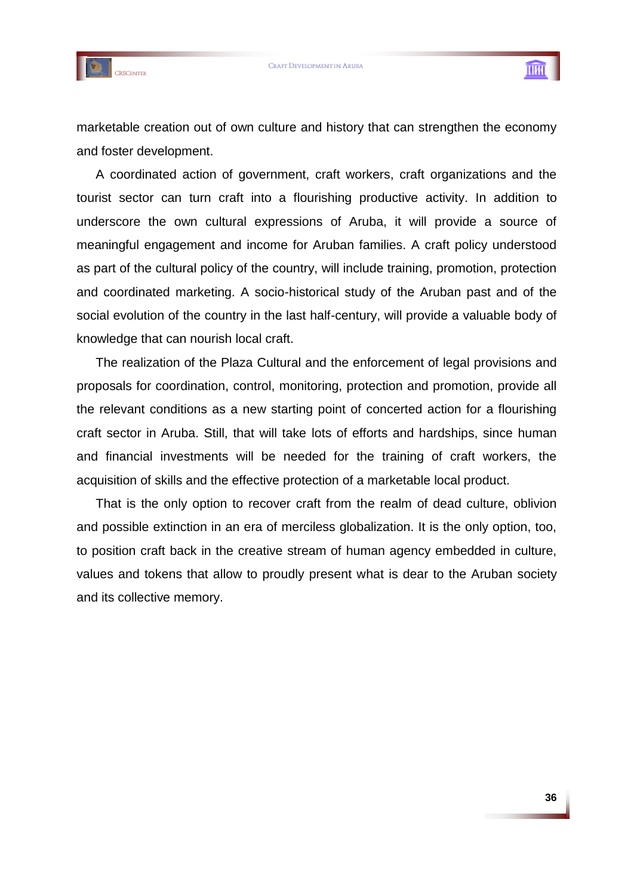



marketable creation out of own culture and history that can strengthen the economy and foster development.

A coordinated action of government, craft workers, craft organizations and the tourist sector can turn craft into a flourishing productive activity. In addition to underscore the own cultural expressions of Aruba, it will provide a source of meaningful engagement and income for Aruban families. A craft policy understood as part of the cultural policy of the country, will include training, promotion, protection and coordinated marketing. A socio-historical study of the Aruban past and of the social evolution of the country in the last half-century, will provide a valuable body of knowledge that can nourish local craft.

The realization of the Plaza Cultural and the enforcement of legal provisions and proposals for coordination, control, monitoring, protection and promotion, provide all the relevant conditions as a new starting point of concerted action for a flourishing craft sector in Aruba. Still, that will take lots of efforts and hardships, since human and financial investments will be needed for the training of craft workers, the acquisition of skills and the effective protection of a marketable local product.

That is the only option to recover craft from the realm of dead culture, oblivion and possible extinction in an era of merciless globalization. It is the only option, too, to position craft back in the creative stream of human agency embedded in culture, values and tokens that allow to proudly present what is dear to the Aruban society and its collective memory.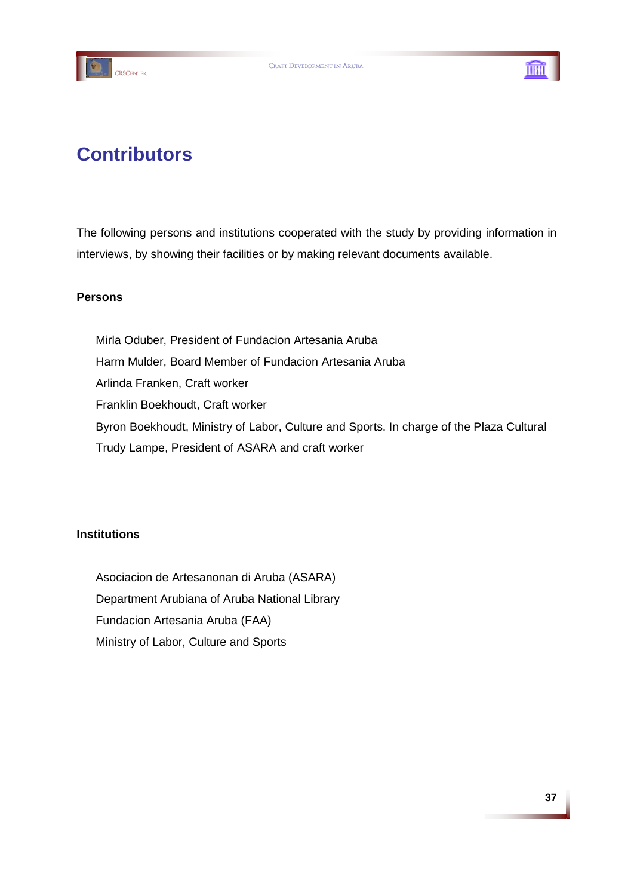



# **Contributors**

The following persons and institutions cooperated with the study by providing information in interviews, by showing their facilities or by making relevant documents available.

# **Persons**

Mirla Oduber, President of Fundacion Artesania Aruba Harm Mulder, Board Member of Fundacion Artesania Aruba Arlinda Franken, Craft worker Franklin Boekhoudt, Craft worker Byron Boekhoudt, Ministry of Labor, Culture and Sports. In charge of the Plaza Cultural Trudy Lampe, President of ASARA and craft worker

# **Institutions**

Asociacion de Artesanonan di Aruba (ASARA) Department Arubiana of Aruba National Library Fundacion Artesania Aruba (FAA) Ministry of Labor, Culture and Sports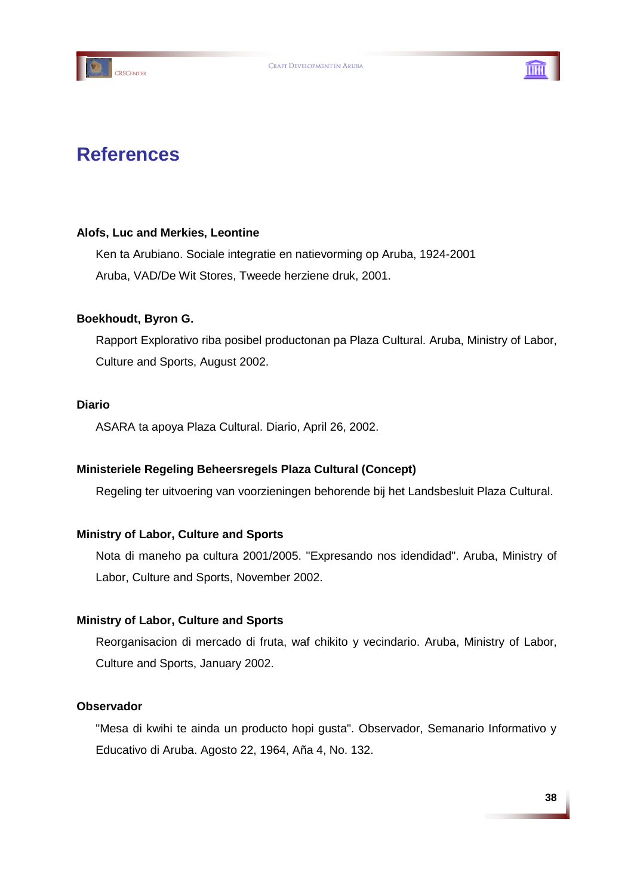



# **References**

# **Alofs, Luc and Merkies, Leontine**

Ken ta Arubiano. Sociale integratie en natievorming op Aruba, 1924-2001 Aruba, VAD/De Wit Stores, Tweede herziene druk, 2001.

# **Boekhoudt, Byron G.**

Rapport Explorativo riba posibel productonan pa Plaza Cultural. Aruba, Ministry of Labor, Culture and Sports, August 2002.

### **Diario**

ASARA ta apoya Plaza Cultural. Diario, April 26, 2002.

# **Ministeriele Regeling Beheersregels Plaza Cultural (Concept)**

Regeling ter uitvoering van voorzieningen behorende bij het Landsbesluit Plaza Cultural.

# **Ministry of Labor, Culture and Sports**

Nota di maneho pa cultura 2001/2005. "Expresando nos idendidad". Aruba, Ministry of Labor, Culture and Sports, November 2002.

# **Ministry of Labor, Culture and Sports**

Reorganisacion di mercado di fruta, waf chikito y vecindario. Aruba, Ministry of Labor, Culture and Sports, January 2002.

### **Observador**

"Mesa di kwihi te ainda un producto hopi gusta". Observador, Semanario Informativo y Educativo di Aruba. Agosto 22, 1964, Aña 4, No. 132.